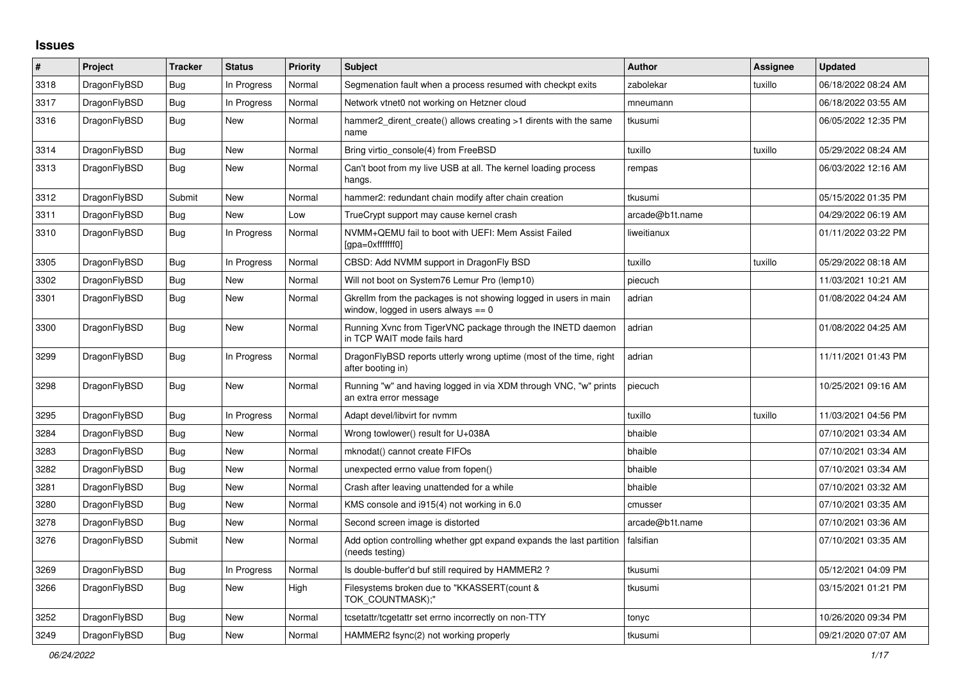## **Issues**

| #    | Project      | <b>Tracker</b> | <b>Status</b> | <b>Priority</b> | <b>Subject</b>                                                                                            | <b>Author</b>   | Assignee | <b>Updated</b>      |
|------|--------------|----------------|---------------|-----------------|-----------------------------------------------------------------------------------------------------------|-----------------|----------|---------------------|
| 3318 | DragonFlyBSD | Bug            | In Progress   | Normal          | Segmenation fault when a process resumed with checkpt exits                                               | zabolekar       | tuxillo  | 06/18/2022 08:24 AM |
| 3317 | DragonFlyBSD | <b>Bug</b>     | In Progress   | Normal          | Network vtnet0 not working on Hetzner cloud                                                               | mneumann        |          | 06/18/2022 03:55 AM |
| 3316 | DragonFlyBSD | Bug            | New           | Normal          | hammer2_dirent_create() allows creating >1 dirents with the same<br>name                                  | tkusumi         |          | 06/05/2022 12:35 PM |
| 3314 | DragonFlyBSD | Bug            | New           | Normal          | Bring virtio console(4) from FreeBSD                                                                      | tuxillo         | tuxillo  | 05/29/2022 08:24 AM |
| 3313 | DragonFlyBSD | <b>Bug</b>     | New           | Normal          | Can't boot from my live USB at all. The kernel loading process<br>hangs.                                  | rempas          |          | 06/03/2022 12:16 AM |
| 3312 | DragonFlyBSD | Submit         | New           | Normal          | hammer2: redundant chain modify after chain creation                                                      | tkusumi         |          | 05/15/2022 01:35 PM |
| 3311 | DragonFlyBSD | <b>Bug</b>     | <b>New</b>    | Low             | TrueCrypt support may cause kernel crash                                                                  | arcade@b1t.name |          | 04/29/2022 06:19 AM |
| 3310 | DragonFlyBSD | <b>Bug</b>     | In Progress   | Normal          | NVMM+QEMU fail to boot with UEFI: Mem Assist Failed<br>[gpa=0xfffffff0]                                   | liweitianux     |          | 01/11/2022 03:22 PM |
| 3305 | DragonFlyBSD | Bug            | In Progress   | Normal          | CBSD: Add NVMM support in DragonFly BSD                                                                   | tuxillo         | tuxillo  | 05/29/2022 08:18 AM |
| 3302 | DragonFlyBSD | Bug            | New           | Normal          | Will not boot on System76 Lemur Pro (lemp10)                                                              | piecuch         |          | 11/03/2021 10:21 AM |
| 3301 | DragonFlyBSD | Bug            | New           | Normal          | Gkrellm from the packages is not showing logged in users in main<br>window, logged in users always $== 0$ | adrian          |          | 01/08/2022 04:24 AM |
| 3300 | DragonFlyBSD | Bug            | <b>New</b>    | Normal          | Running Xvnc from TigerVNC package through the INETD daemon<br>in TCP WAIT mode fails hard                | adrian          |          | 01/08/2022 04:25 AM |
| 3299 | DragonFlyBSD | <b>Bug</b>     | In Progress   | Normal          | DragonFlyBSD reports utterly wrong uptime (most of the time, right<br>after booting in)                   | adrian          |          | 11/11/2021 01:43 PM |
| 3298 | DragonFlyBSD | <b>Bug</b>     | <b>New</b>    | Normal          | Running "w" and having logged in via XDM through VNC, "w" prints<br>an extra error message                | piecuch         |          | 10/25/2021 09:16 AM |
| 3295 | DragonFlyBSD | Bug            | In Progress   | Normal          | Adapt devel/libvirt for nymm                                                                              | tuxillo         | tuxillo  | 11/03/2021 04:56 PM |
| 3284 | DragonFlyBSD | Bug            | <b>New</b>    | Normal          | Wrong towlower() result for U+038A                                                                        | bhaible         |          | 07/10/2021 03:34 AM |
| 3283 | DragonFlyBSD | <b>Bug</b>     | New           | Normal          | mknodat() cannot create FIFOs                                                                             | bhaible         |          | 07/10/2021 03:34 AM |
| 3282 | DragonFlyBSD | <b>Bug</b>     | New           | Normal          | unexpected errno value from fopen()                                                                       | bhaible         |          | 07/10/2021 03:34 AM |
| 3281 | DragonFlyBSD | <b>Bug</b>     | New           | Normal          | Crash after leaving unattended for a while                                                                | bhaible         |          | 07/10/2021 03:32 AM |
| 3280 | DragonFlyBSD | Bug            | New           | Normal          | KMS console and i915(4) not working in 6.0                                                                | cmusser         |          | 07/10/2021 03:35 AM |
| 3278 | DragonFlyBSD | Bug            | New           | Normal          | Second screen image is distorted                                                                          | arcade@b1t.name |          | 07/10/2021 03:36 AM |
| 3276 | DragonFlyBSD | Submit         | New           | Normal          | Add option controlling whether gpt expand expands the last partition<br>(needs testing)                   | falsifian       |          | 07/10/2021 03:35 AM |
| 3269 | DragonFlyBSD | Bug            | In Progress   | Normal          | Is double-buffer'd buf still required by HAMMER2?                                                         | tkusumi         |          | 05/12/2021 04:09 PM |
| 3266 | DragonFlyBSD | Bug            | New           | High            | Filesystems broken due to "KKASSERT(count &<br>TOK_COUNTMASK);"                                           | tkusumi         |          | 03/15/2021 01:21 PM |
| 3252 | DragonFlyBSD | Bug            | New           | Normal          | tcsetattr/tcgetattr set errno incorrectly on non-TTY                                                      | tonyc           |          | 10/26/2020 09:34 PM |
| 3249 | DragonFlyBSD | <b>Bug</b>     | New           | Normal          | HAMMER2 fsync(2) not working properly                                                                     | tkusumi         |          | 09/21/2020 07:07 AM |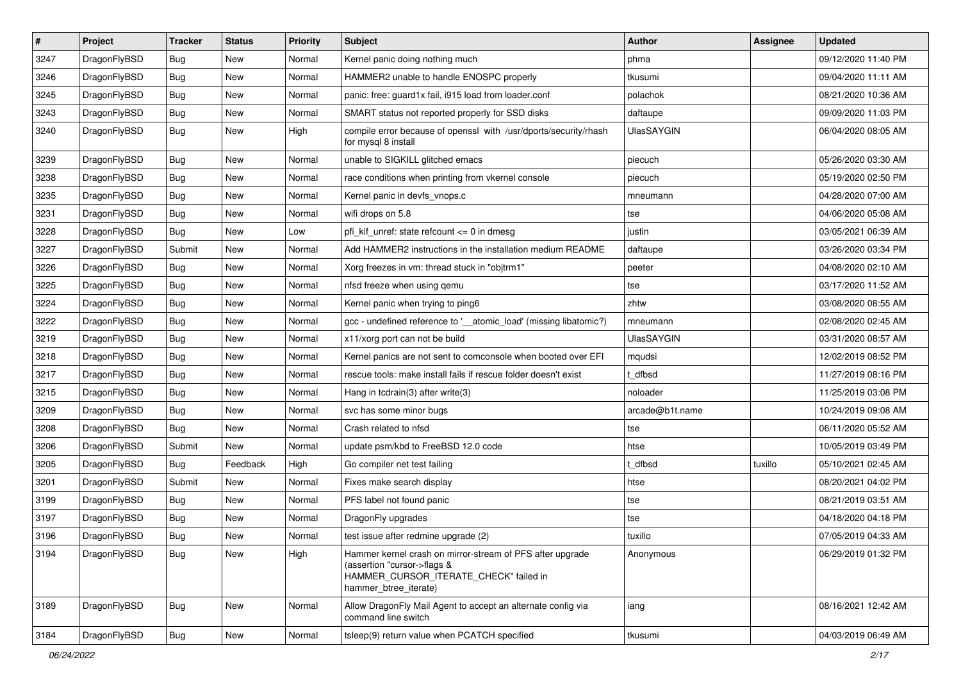| $\vert$ # | Project      | <b>Tracker</b> | <b>Status</b> | <b>Priority</b> | Subject                                                                                                                                                     | Author            | <b>Assignee</b> | <b>Updated</b>      |
|-----------|--------------|----------------|---------------|-----------------|-------------------------------------------------------------------------------------------------------------------------------------------------------------|-------------------|-----------------|---------------------|
| 3247      | DragonFlyBSD | Bug            | <b>New</b>    | Normal          | Kernel panic doing nothing much                                                                                                                             | phma              |                 | 09/12/2020 11:40 PM |
| 3246      | DragonFlyBSD | Bug            | <b>New</b>    | Normal          | HAMMER2 unable to handle ENOSPC properly                                                                                                                    | tkusumi           |                 | 09/04/2020 11:11 AM |
| 3245      | DragonFlyBSD | <b>Bug</b>     | <b>New</b>    | Normal          | panic: free: guard1x fail, i915 load from loader.conf                                                                                                       | polachok          |                 | 08/21/2020 10:36 AM |
| 3243      | DragonFlyBSD | Bug            | New           | Normal          | SMART status not reported properly for SSD disks                                                                                                            | daftaupe          |                 | 09/09/2020 11:03 PM |
| 3240      | DragonFlyBSD | Bug            | New           | High            | compile error because of openssl with /usr/dports/security/rhash<br>for mysql 8 install                                                                     | <b>UlasSAYGIN</b> |                 | 06/04/2020 08:05 AM |
| 3239      | DragonFlyBSD | Bug            | New           | Normal          | unable to SIGKILL glitched emacs                                                                                                                            | piecuch           |                 | 05/26/2020 03:30 AM |
| 3238      | DragonFlyBSD | Bug            | New           | Normal          | race conditions when printing from vkernel console                                                                                                          | piecuch           |                 | 05/19/2020 02:50 PM |
| 3235      | DragonFlyBSD | Bug            | <b>New</b>    | Normal          | Kernel panic in devfs_vnops.c                                                                                                                               | mneumann          |                 | 04/28/2020 07:00 AM |
| 3231      | DragonFlyBSD | Bug            | New           | Normal          | wifi drops on 5.8                                                                                                                                           | tse               |                 | 04/06/2020 05:08 AM |
| 3228      | DragonFlyBSD | Bug            | <b>New</b>    | Low             | pfi kif unref: state refcount $\leq$ 0 in dmesg                                                                                                             | justin            |                 | 03/05/2021 06:39 AM |
| 3227      | DragonFlyBSD | Submit         | New           | Normal          | Add HAMMER2 instructions in the installation medium README                                                                                                  | daftaupe          |                 | 03/26/2020 03:34 PM |
| 3226      | DragonFlyBSD | <b>Bug</b>     | New           | Normal          | Xorg freezes in vm: thread stuck in "objtrm1"                                                                                                               | peeter            |                 | 04/08/2020 02:10 AM |
| 3225      | DragonFlyBSD | Bug            | New           | Normal          | nfsd freeze when using qemu                                                                                                                                 | tse               |                 | 03/17/2020 11:52 AM |
| 3224      | DragonFlyBSD | Bug            | <b>New</b>    | Normal          | Kernel panic when trying to ping6                                                                                                                           | zhtw              |                 | 03/08/2020 08:55 AM |
| 3222      | DragonFlyBSD | Bug            | New           | Normal          | gcc - undefined reference to '__atomic_load' (missing libatomic?)                                                                                           | mneumann          |                 | 02/08/2020 02:45 AM |
| 3219      | DragonFlyBSD | Bug            | <b>New</b>    | Normal          | x11/xorg port can not be build                                                                                                                              | UlasSAYGIN        |                 | 03/31/2020 08:57 AM |
| 3218      | DragonFlyBSD | Bug            | <b>New</b>    | Normal          | Kernel panics are not sent to comconsole when booted over EFI                                                                                               | mqudsi            |                 | 12/02/2019 08:52 PM |
| 3217      | DragonFlyBSD | Bug            | New           | Normal          | rescue tools: make install fails if rescue folder doesn't exist                                                                                             | t dfbsd           |                 | 11/27/2019 08:16 PM |
| 3215      | DragonFlyBSD | <b>Bug</b>     | <b>New</b>    | Normal          | Hang in tcdrain(3) after write(3)                                                                                                                           | noloader          |                 | 11/25/2019 03:08 PM |
| 3209      | DragonFlyBSD | Bug            | New           | Normal          | svc has some minor bugs                                                                                                                                     | arcade@b1t.name   |                 | 10/24/2019 09:08 AM |
| 3208      | DragonFlyBSD | Bug            | <b>New</b>    | Normal          | Crash related to nfsd                                                                                                                                       | tse               |                 | 06/11/2020 05:52 AM |
| 3206      | DragonFlyBSD | Submit         | New           | Normal          | update psm/kbd to FreeBSD 12.0 code                                                                                                                         | htse              |                 | 10/05/2019 03:49 PM |
| 3205      | DragonFlyBSD | Bug            | Feedback      | High            | Go compiler net test failing                                                                                                                                | t dfbsd           | tuxillo         | 05/10/2021 02:45 AM |
| 3201      | DragonFlyBSD | Submit         | <b>New</b>    | Normal          | Fixes make search display                                                                                                                                   | htse              |                 | 08/20/2021 04:02 PM |
| 3199      | DragonFlyBSD | Bug            | New           | Normal          | PFS label not found panic                                                                                                                                   | tse               |                 | 08/21/2019 03:51 AM |
| 3197      | DragonFlyBSD | Bug            | New           | Normal          | DragonFly upgrades                                                                                                                                          | tse               |                 | 04/18/2020 04:18 PM |
| 3196      | DragonFlyBSD | Bug            | New           | Normal          | test issue after redmine upgrade (2)                                                                                                                        | tuxillo           |                 | 07/05/2019 04:33 AM |
| 3194      | DragonFlyBSD | <b>Bug</b>     | New           | High            | Hammer kernel crash on mirror-stream of PFS after upgrade<br>(assertion "cursor->flags &<br>HAMMER CURSOR ITERATE CHECK" failed in<br>hammer_btree_iterate) | Anonymous         |                 | 06/29/2019 01:32 PM |
| 3189      | DragonFlyBSD | Bug            | New           | Normal          | Allow DragonFly Mail Agent to accept an alternate config via<br>command line switch                                                                         | iang              |                 | 08/16/2021 12:42 AM |
| 3184      | DragonFlyBSD | Bug            | New           | Normal          | tsleep(9) return value when PCATCH specified                                                                                                                | tkusumi           |                 | 04/03/2019 06:49 AM |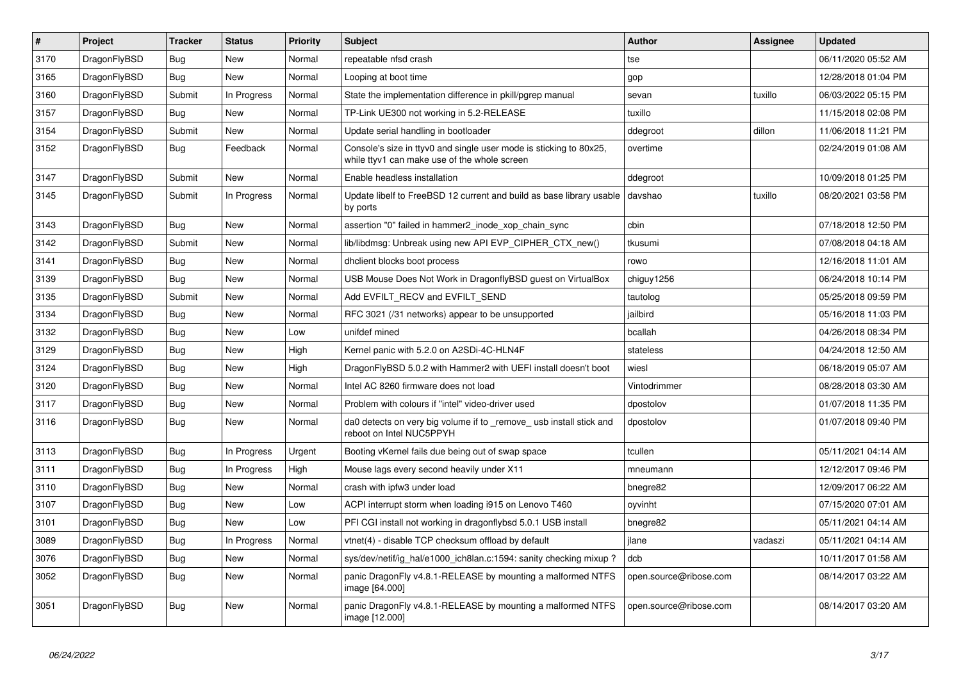| $\vert$ # | <b>Project</b> | <b>Tracker</b> | <b>Status</b> | <b>Priority</b> | <b>Subject</b>                                                                                                     | Author                 | <b>Assignee</b> | <b>Updated</b>      |
|-----------|----------------|----------------|---------------|-----------------|--------------------------------------------------------------------------------------------------------------------|------------------------|-----------------|---------------------|
| 3170      | DragonFlyBSD   | Bug            | New           | Normal          | repeatable nfsd crash                                                                                              | tse                    |                 | 06/11/2020 05:52 AM |
| 3165      | DragonFlyBSD   | Bug            | <b>New</b>    | Normal          | Looping at boot time                                                                                               | gop                    |                 | 12/28/2018 01:04 PM |
| 3160      | DragonFlyBSD   | Submit         | In Progress   | Normal          | State the implementation difference in pkill/pgrep manual                                                          | sevan                  | tuxillo         | 06/03/2022 05:15 PM |
| 3157      | DragonFlyBSD   | Bug            | <b>New</b>    | Normal          | TP-Link UE300 not working in 5.2-RELEASE                                                                           | tuxillo                |                 | 11/15/2018 02:08 PM |
| 3154      | DragonFlyBSD   | Submit         | <b>New</b>    | Normal          | Update serial handling in bootloader                                                                               | ddegroot               | dillon          | 11/06/2018 11:21 PM |
| 3152      | DragonFlyBSD   | Bug            | Feedback      | Normal          | Console's size in ttyv0 and single user mode is sticking to 80x25,<br>while ttyv1 can make use of the whole screen | overtime               |                 | 02/24/2019 01:08 AM |
| 3147      | DragonFlyBSD   | Submit         | <b>New</b>    | Normal          | Enable headless installation                                                                                       | ddegroot               |                 | 10/09/2018 01:25 PM |
| 3145      | DragonFlyBSD   | Submit         | In Progress   | Normal          | Update libelf to FreeBSD 12 current and build as base library usable<br>by ports                                   | davshao                | tuxillo         | 08/20/2021 03:58 PM |
| 3143      | DragonFlyBSD   | Bug            | <b>New</b>    | Normal          | assertion "0" failed in hammer2 inode xop chain sync                                                               | cbin                   |                 | 07/18/2018 12:50 PM |
| 3142      | DragonFlyBSD   | Submit         | New           | Normal          | lib/libdmsg: Unbreak using new API EVP_CIPHER_CTX_new()                                                            | tkusumi                |                 | 07/08/2018 04:18 AM |
| 3141      | DragonFlyBSD   | Bug            | <b>New</b>    | Normal          | dhclient blocks boot process                                                                                       | rowo                   |                 | 12/16/2018 11:01 AM |
| 3139      | DragonFlyBSD   | <b>Bug</b>     | <b>New</b>    | Normal          | USB Mouse Does Not Work in DragonflyBSD guest on VirtualBox                                                        | chiguy1256             |                 | 06/24/2018 10:14 PM |
| 3135      | DragonFlyBSD   | Submit         | <b>New</b>    | Normal          | Add EVFILT RECV and EVFILT SEND                                                                                    | tautolog               |                 | 05/25/2018 09:59 PM |
| 3134      | DragonFlyBSD   | Bug            | <b>New</b>    | Normal          | RFC 3021 (/31 networks) appear to be unsupported                                                                   | jailbird               |                 | 05/16/2018 11:03 PM |
| 3132      | DragonFlyBSD   | Bug            | <b>New</b>    | Low             | unifdef mined                                                                                                      | bcallah                |                 | 04/26/2018 08:34 PM |
| 3129      | DragonFlyBSD   | <b>Bug</b>     | <b>New</b>    | High            | Kernel panic with 5.2.0 on A2SDi-4C-HLN4F                                                                          | stateless              |                 | 04/24/2018 12:50 AM |
| 3124      | DragonFlyBSD   | Bug            | <b>New</b>    | High            | DragonFlyBSD 5.0.2 with Hammer2 with UEFI install doesn't boot                                                     | wiesl                  |                 | 06/18/2019 05:07 AM |
| 3120      | DragonFlyBSD   | Bug            | <b>New</b>    | Normal          | Intel AC 8260 firmware does not load                                                                               | Vintodrimmer           |                 | 08/28/2018 03:30 AM |
| 3117      | DragonFlyBSD   | <b>Bug</b>     | <b>New</b>    | Normal          | Problem with colours if "intel" video-driver used                                                                  | dpostolov              |                 | 01/07/2018 11:35 PM |
| 3116      | DragonFlyBSD   | Bug            | New           | Normal          | da0 detects on very big volume if to remove usb install stick and<br>reboot on Intel NUC5PPYH                      | dpostolov              |                 | 01/07/2018 09:40 PM |
| 3113      | DragonFlyBSD   | Bug            | In Progress   | Urgent          | Booting vKernel fails due being out of swap space                                                                  | tcullen                |                 | 05/11/2021 04:14 AM |
| 3111      | DragonFlyBSD   | <b>Bug</b>     | In Progress   | Hiah            | Mouse lags every second heavily under X11                                                                          | mneumann               |                 | 12/12/2017 09:46 PM |
| 3110      | DragonFlyBSD   | Bug            | <b>New</b>    | Normal          | crash with ipfw3 under load                                                                                        | bnegre82               |                 | 12/09/2017 06:22 AM |
| 3107      | DragonFlyBSD   | Bug            | <b>New</b>    | Low             | ACPI interrupt storm when loading i915 on Lenovo T460                                                              | oyvinht                |                 | 07/15/2020 07:01 AM |
| 3101      | DragonFlyBSD   | Bug            | <b>New</b>    | Low             | PFI CGI install not working in dragonflybsd 5.0.1 USB install                                                      | bnegre82               |                 | 05/11/2021 04:14 AM |
| 3089      | DragonFlyBSD   | Bug            | In Progress   | Normal          | vtnet(4) - disable TCP checksum offload by default                                                                 | jlane                  | vadaszi         | 05/11/2021 04:14 AM |
| 3076      | DragonFlyBSD   | Bug            | <b>New</b>    | Normal          | sys/dev/netif/ig hal/e1000 ich8lan.c:1594: sanity checking mixup?                                                  | dcb                    |                 | 10/11/2017 01:58 AM |
| 3052      | DragonFlyBSD   | Bug            | New           | Normal          | panic DragonFly v4.8.1-RELEASE by mounting a malformed NTFS<br>image [64.000]                                      | open.source@ribose.com |                 | 08/14/2017 03:22 AM |
| 3051      | DragonFlyBSD   | Bug            | New           | Normal          | panic DragonFly v4.8.1-RELEASE by mounting a malformed NTFS<br>image [12.000]                                      | open.source@ribose.com |                 | 08/14/2017 03:20 AM |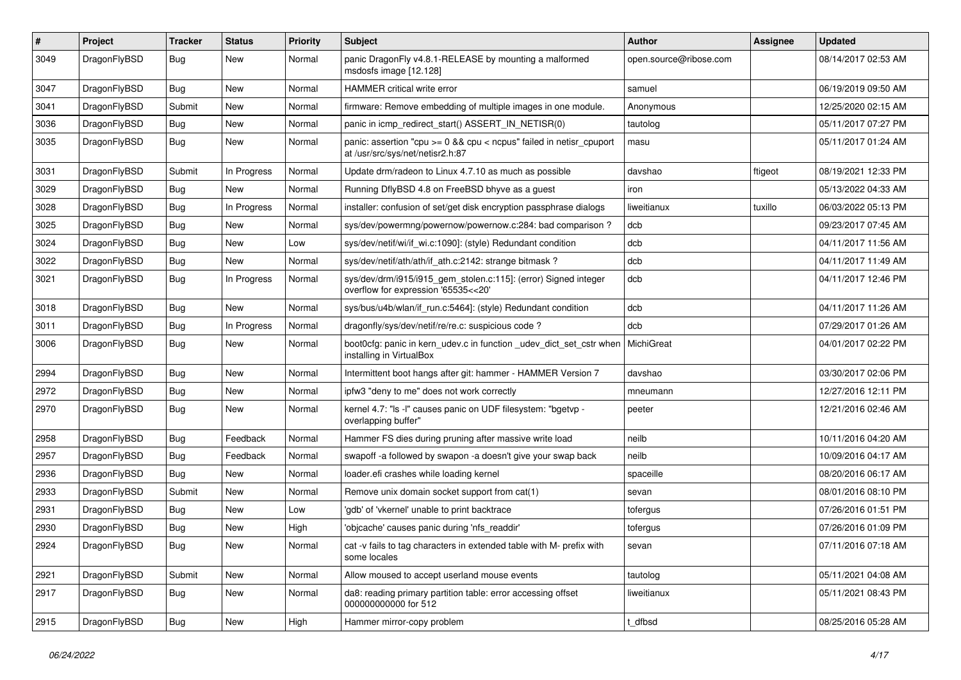| #    | Project      | <b>Tracker</b> | <b>Status</b> | <b>Priority</b> | Subject                                                                                                 | <b>Author</b>          | Assignee | <b>Updated</b>      |
|------|--------------|----------------|---------------|-----------------|---------------------------------------------------------------------------------------------------------|------------------------|----------|---------------------|
| 3049 | DragonFlyBSD | Bug            | New           | Normal          | panic DragonFly v4.8.1-RELEASE by mounting a malformed<br>msdosfs image [12.128]                        | open.source@ribose.com |          | 08/14/2017 02:53 AM |
| 3047 | DragonFlyBSD | Bug            | New           | Normal          | <b>HAMMER critical write error</b>                                                                      | samuel                 |          | 06/19/2019 09:50 AM |
| 3041 | DragonFlyBSD | Submit         | <b>New</b>    | Normal          | firmware: Remove embedding of multiple images in one module.                                            | Anonymous              |          | 12/25/2020 02:15 AM |
| 3036 | DragonFlyBSD | Bug            | New           | Normal          | panic in icmp_redirect_start() ASSERT_IN_NETISR(0)                                                      | tautolog               |          | 05/11/2017 07:27 PM |
| 3035 | DragonFlyBSD | <b>Bug</b>     | <b>New</b>    | Normal          | panic: assertion "cpu >= 0 && cpu < ncpus" failed in netisr_cpuport<br>at /usr/src/sys/net/netisr2.h:87 | masu                   |          | 05/11/2017 01:24 AM |
| 3031 | DragonFlyBSD | Submit         | In Progress   | Normal          | Update drm/radeon to Linux 4.7.10 as much as possible                                                   | davshao                | ftigeot  | 08/19/2021 12:33 PM |
| 3029 | DragonFlyBSD | <b>Bug</b>     | New           | Normal          | Running DflyBSD 4.8 on FreeBSD bhyve as a guest                                                         | iron                   |          | 05/13/2022 04:33 AM |
| 3028 | DragonFlyBSD | Bug            | In Progress   | Normal          | installer: confusion of set/get disk encryption passphrase dialogs                                      | liweitianux            | tuxillo  | 06/03/2022 05:13 PM |
| 3025 | DragonFlyBSD | <b>Bug</b>     | New           | Normal          | sys/dev/powermng/powernow/powernow.c:284: bad comparison?                                               | dcb                    |          | 09/23/2017 07:45 AM |
| 3024 | DragonFlyBSD | <b>Bug</b>     | New           | Low             | sys/dev/netif/wi/if_wi.c:1090]: (style) Redundant condition                                             | dcb                    |          | 04/11/2017 11:56 AM |
| 3022 | DragonFlyBSD | <b>Bug</b>     | New           | Normal          | sys/dev/netif/ath/ath/if_ath.c:2142: strange bitmask?                                                   | dcb                    |          | 04/11/2017 11:49 AM |
| 3021 | DragonFlyBSD | <b>Bug</b>     | In Progress   | Normal          | sys/dev/drm/i915/i915_gem_stolen.c:115]: (error) Signed integer<br>overflow for expression '65535<<20'  | dcb                    |          | 04/11/2017 12:46 PM |
| 3018 | DragonFlyBSD | Bug            | <b>New</b>    | Normal          | sys/bus/u4b/wlan/if_run.c:5464]: (style) Redundant condition                                            | dcb                    |          | 04/11/2017 11:26 AM |
| 3011 | DragonFlyBSD | Bug            | In Progress   | Normal          | dragonfly/sys/dev/netif/re/re.c: suspicious code?                                                       | dcb                    |          | 07/29/2017 01:26 AM |
| 3006 | DragonFlyBSD | Bug            | New           | Normal          | boot0cfg: panic in kern_udev.c in function _udev_dict_set_cstr when<br>installing in VirtualBox         | MichiGreat             |          | 04/01/2017 02:22 PM |
| 2994 | DragonFlyBSD | Bug            | New           | Normal          | Intermittent boot hangs after git: hammer - HAMMER Version 7                                            | davshao                |          | 03/30/2017 02:06 PM |
| 2972 | DragonFlyBSD | <b>Bug</b>     | New           | Normal          | ipfw3 "deny to me" does not work correctly                                                              | mneumann               |          | 12/27/2016 12:11 PM |
| 2970 | DragonFlyBSD | <b>Bug</b>     | New           | Normal          | kernel 4.7: "Is -I" causes panic on UDF filesystem: "bgetvp -<br>overlapping buffer"                    | peeter                 |          | 12/21/2016 02:46 AM |
| 2958 | DragonFlyBSD | <b>Bug</b>     | Feedback      | Normal          | Hammer FS dies during pruning after massive write load                                                  | neilb                  |          | 10/11/2016 04:20 AM |
| 2957 | DragonFlyBSD | <b>Bug</b>     | Feedback      | Normal          | swapoff -a followed by swapon -a doesn't give your swap back                                            | neilb                  |          | 10/09/2016 04:17 AM |
| 2936 | DragonFlyBSD | Bug            | <b>New</b>    | Normal          | loader.efi crashes while loading kernel                                                                 | spaceille              |          | 08/20/2016 06:17 AM |
| 2933 | DragonFlyBSD | Submit         | <b>New</b>    | Normal          | Remove unix domain socket support from cat(1)                                                           | sevan                  |          | 08/01/2016 08:10 PM |
| 2931 | DragonFlyBSD | Bug            | New           | Low             | 'gdb' of 'vkernel' unable to print backtrace                                                            | tofergus               |          | 07/26/2016 01:51 PM |
| 2930 | DragonFlyBSD | Bug            | New           | High            | 'objcache' causes panic during 'nfs readdir'                                                            | tofergus               |          | 07/26/2016 01:09 PM |
| 2924 | DragonFlyBSD | <b>Bug</b>     | New           | Normal          | cat -v fails to tag characters in extended table with M- prefix with<br>some locales                    | sevan                  |          | 07/11/2016 07:18 AM |
| 2921 | DragonFlyBSD | Submit         | New           | Normal          | Allow moused to accept userland mouse events                                                            | tautolog               |          | 05/11/2021 04:08 AM |
| 2917 | DragonFlyBSD | <b>Bug</b>     | New           | Normal          | da8: reading primary partition table: error accessing offset<br>000000000000 for 512                    | liweitianux            |          | 05/11/2021 08:43 PM |
| 2915 | DragonFlyBSD | <b>Bug</b>     | New           | High            | Hammer mirror-copy problem                                                                              | dfbsd                  |          | 08/25/2016 05:28 AM |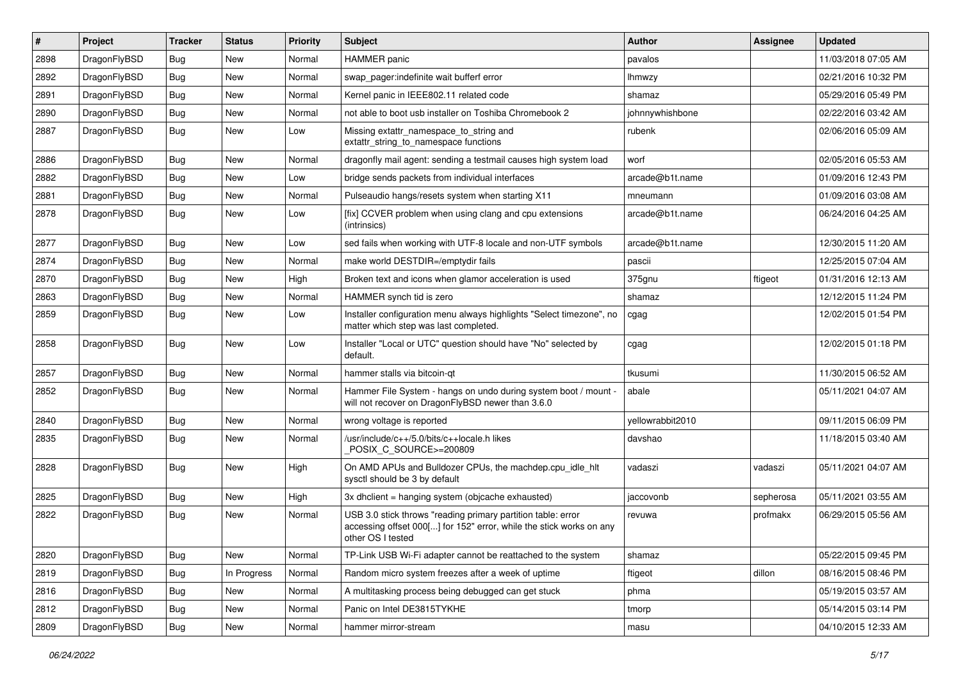| $\sharp$ | Project      | <b>Tracker</b> | <b>Status</b> | <b>Priority</b> | Subject                                                                                                                                                  | <b>Author</b>    | Assignee  | <b>Updated</b>      |
|----------|--------------|----------------|---------------|-----------------|----------------------------------------------------------------------------------------------------------------------------------------------------------|------------------|-----------|---------------------|
| 2898     | DragonFlyBSD | <b>Bug</b>     | New           | Normal          | <b>HAMMER</b> panic                                                                                                                                      | pavalos          |           | 11/03/2018 07:05 AM |
| 2892     | DragonFlyBSD | <b>Bug</b>     | <b>New</b>    | Normal          | swap_pager:indefinite wait bufferf error                                                                                                                 | lhmwzy           |           | 02/21/2016 10:32 PM |
| 2891     | DragonFlyBSD | <b>Bug</b>     | New           | Normal          | Kernel panic in IEEE802.11 related code                                                                                                                  | shamaz           |           | 05/29/2016 05:49 PM |
| 2890     | DragonFlyBSD | <b>Bug</b>     | New           | Normal          | not able to boot usb installer on Toshiba Chromebook 2                                                                                                   | johnnywhishbone  |           | 02/22/2016 03:42 AM |
| 2887     | DragonFlyBSD | Bug            | <b>New</b>    | Low             | Missing extattr_namespace_to_string and<br>extattr string to namespace functions                                                                         | rubenk           |           | 02/06/2016 05:09 AM |
| 2886     | DragonFlyBSD | Bug            | <b>New</b>    | Normal          | dragonfly mail agent: sending a testmail causes high system load                                                                                         | worf             |           | 02/05/2016 05:53 AM |
| 2882     | DragonFlyBSD | <b>Bug</b>     | <b>New</b>    | Low             | bridge sends packets from individual interfaces                                                                                                          | arcade@b1t.name  |           | 01/09/2016 12:43 PM |
| 2881     | DragonFlyBSD | <b>Bug</b>     | New           | Normal          | Pulseaudio hangs/resets system when starting X11                                                                                                         | mneumann         |           | 01/09/2016 03:08 AM |
| 2878     | DragonFlyBSD | Bug            | <b>New</b>    | Low             | [fix] CCVER problem when using clang and cpu extensions<br>(intrinsics)                                                                                  | arcade@b1t.name  |           | 06/24/2016 04:25 AM |
| 2877     | DragonFlyBSD | Bug            | New           | Low             | sed fails when working with UTF-8 locale and non-UTF symbols                                                                                             | arcade@b1t.name  |           | 12/30/2015 11:20 AM |
| 2874     | DragonFlyBSD | <b>Bug</b>     | <b>New</b>    | Normal          | make world DESTDIR=/emptydir fails                                                                                                                       | pascii           |           | 12/25/2015 07:04 AM |
| 2870     | DragonFlyBSD | <b>Bug</b>     | New           | High            | Broken text and icons when glamor acceleration is used                                                                                                   | 375gnu           | ftigeot   | 01/31/2016 12:13 AM |
| 2863     | DragonFlyBSD | Bug            | <b>New</b>    | Normal          | HAMMER synch tid is zero                                                                                                                                 | shamaz           |           | 12/12/2015 11:24 PM |
| 2859     | DragonFlyBSD | Bug            | <b>New</b>    | Low             | Installer configuration menu always highlights "Select timezone", no<br>matter which step was last completed.                                            | cgag             |           | 12/02/2015 01:54 PM |
| 2858     | DragonFlyBSD | Bug            | <b>New</b>    | Low             | Installer "Local or UTC" question should have "No" selected by<br>default.                                                                               | cgag             |           | 12/02/2015 01:18 PM |
| 2857     | DragonFlyBSD | Bug            | <b>New</b>    | Normal          | hammer stalls via bitcoin-qt                                                                                                                             | tkusumi          |           | 11/30/2015 06:52 AM |
| 2852     | DragonFlyBSD | Bug            | <b>New</b>    | Normal          | Hammer File System - hangs on undo during system boot / mount -<br>will not recover on DragonFlyBSD newer than 3.6.0                                     | abale            |           | 05/11/2021 04:07 AM |
| 2840     | DragonFlyBSD | Bug            | <b>New</b>    | Normal          | wrong voltage is reported                                                                                                                                | yellowrabbit2010 |           | 09/11/2015 06:09 PM |
| 2835     | DragonFlyBSD | Bug            | <b>New</b>    | Normal          | /usr/include/c++/5.0/bits/c++locale.h likes<br>POSIX_C_SOURCE>=200809                                                                                    | davshao          |           | 11/18/2015 03:40 AM |
| 2828     | DragonFlyBSD | <b>Bug</b>     | New           | High            | On AMD APUs and Bulldozer CPUs, the machdep.cpu_idle_hlt<br>sysctl should be 3 by default                                                                | vadaszi          | vadaszi   | 05/11/2021 04:07 AM |
| 2825     | DragonFlyBSD | Bug            | <b>New</b>    | High            | 3x dhclient = hanging system (objcache exhausted)                                                                                                        | jaccovonb        | sepherosa | 05/11/2021 03:55 AM |
| 2822     | DragonFlyBSD | Bug            | New           | Normal          | USB 3.0 stick throws "reading primary partition table: error<br>accessing offset 000[] for 152" error, while the stick works on any<br>other OS I tested | revuwa           | profmakx  | 06/29/2015 05:56 AM |
| 2820     | DragonFlyBSD | Bug            | New           | Normal          | TP-Link USB Wi-Fi adapter cannot be reattached to the system                                                                                             | shamaz           |           | 05/22/2015 09:45 PM |
| 2819     | DragonFlyBSD | Bug            | In Progress   | Normal          | Random micro system freezes after a week of uptime                                                                                                       | ftigeot          | dillon    | 08/16/2015 08:46 PM |
| 2816     | DragonFlyBSD | <b>Bug</b>     | New           | Normal          | A multitasking process being debugged can get stuck                                                                                                      | phma             |           | 05/19/2015 03:57 AM |
| 2812     | DragonFlyBSD | <b>Bug</b>     | New           | Normal          | Panic on Intel DE3815TYKHE                                                                                                                               | tmorp            |           | 05/14/2015 03:14 PM |
| 2809     | DragonFlyBSD | <b>Bug</b>     | New           | Normal          | hammer mirror-stream                                                                                                                                     | masu             |           | 04/10/2015 12:33 AM |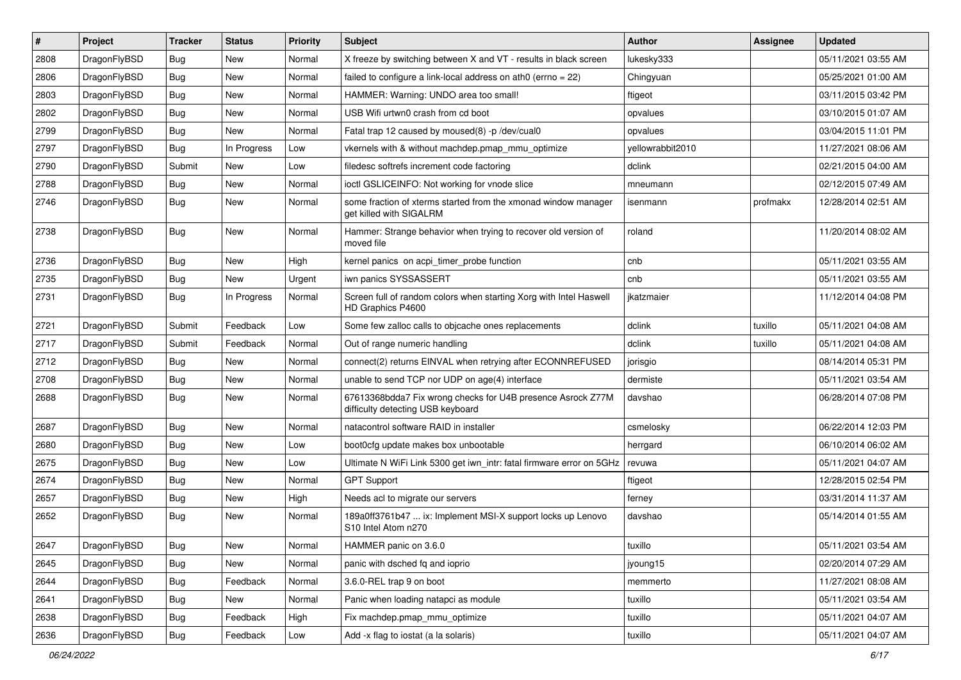| $\sharp$ | Project      | <b>Tracker</b> | <b>Status</b> | <b>Priority</b> | Subject                                                                                          | <b>Author</b>    | <b>Assignee</b> | <b>Updated</b>      |
|----------|--------------|----------------|---------------|-----------------|--------------------------------------------------------------------------------------------------|------------------|-----------------|---------------------|
| 2808     | DragonFlyBSD | Bug            | New           | Normal          | X freeze by switching between X and VT - results in black screen                                 | lukesky333       |                 | 05/11/2021 03:55 AM |
| 2806     | DragonFlyBSD | Bug            | <b>New</b>    | Normal          | failed to configure a link-local address on ath $0$ (errno = 22)                                 | Chingyuan        |                 | 05/25/2021 01:00 AM |
| 2803     | DragonFlyBSD | Bug            | New           | Normal          | HAMMER: Warning: UNDO area too small!                                                            | ftigeot          |                 | 03/11/2015 03:42 PM |
| 2802     | DragonFlyBSD | Bug            | <b>New</b>    | Normal          | USB Wifi urtwn0 crash from cd boot                                                               | opvalues         |                 | 03/10/2015 01:07 AM |
| 2799     | DragonFlyBSD | Bug            | New           | Normal          | Fatal trap 12 caused by moused(8) -p /dev/cual0                                                  | opvalues         |                 | 03/04/2015 11:01 PM |
| 2797     | DragonFlyBSD | Bug            | In Progress   | Low             | vkernels with & without machdep.pmap mmu optimize                                                | yellowrabbit2010 |                 | 11/27/2021 08:06 AM |
| 2790     | DragonFlyBSD | Submit         | New           | Low             | filedesc softrefs increment code factoring                                                       | dclink           |                 | 02/21/2015 04:00 AM |
| 2788     | DragonFlyBSD | Bug            | New           | Normal          | ioctl GSLICEINFO: Not working for vnode slice                                                    | mneumann         |                 | 02/12/2015 07:49 AM |
| 2746     | DragonFlyBSD | Bug            | <b>New</b>    | Normal          | some fraction of xterms started from the xmonad window manager<br>get killed with SIGALRM        | isenmann         | profmakx        | 12/28/2014 02:51 AM |
| 2738     | DragonFlyBSD | Bug            | New           | Normal          | Hammer: Strange behavior when trying to recover old version of<br>moved file                     | roland           |                 | 11/20/2014 08:02 AM |
| 2736     | DragonFlyBSD | Bug            | <b>New</b>    | High            | kernel panics on acpi_timer_probe function                                                       | cnb              |                 | 05/11/2021 03:55 AM |
| 2735     | DragonFlyBSD | Bug            | New           | Urgent          | iwn panics SYSSASSERT                                                                            | cnb              |                 | 05/11/2021 03:55 AM |
| 2731     | DragonFlyBSD | Bug            | In Progress   | Normal          | Screen full of random colors when starting Xorg with Intel Haswell<br>HD Graphics P4600          | jkatzmaier       |                 | 11/12/2014 04:08 PM |
| 2721     | DragonFlyBSD | Submit         | Feedback      | Low             | Some few zalloc calls to objcache ones replacements                                              | dclink           | tuxillo         | 05/11/2021 04:08 AM |
| 2717     | DragonFlyBSD | Submit         | Feedback      | Normal          | Out of range numeric handling                                                                    | dclink           | tuxillo         | 05/11/2021 04:08 AM |
| 2712     | DragonFlyBSD | Bug            | <b>New</b>    | Normal          | connect(2) returns EINVAL when retrying after ECONNREFUSED                                       | jorisgio         |                 | 08/14/2014 05:31 PM |
| 2708     | DragonFlyBSD | Bug            | <b>New</b>    | Normal          | unable to send TCP nor UDP on age(4) interface                                                   | dermiste         |                 | 05/11/2021 03:54 AM |
| 2688     | DragonFlyBSD | Bug            | <b>New</b>    | Normal          | 67613368bdda7 Fix wrong checks for U4B presence Asrock Z77M<br>difficulty detecting USB keyboard | davshao          |                 | 06/28/2014 07:08 PM |
| 2687     | DragonFlyBSD | Bug            | <b>New</b>    | Normal          | natacontrol software RAID in installer                                                           | csmelosky        |                 | 06/22/2014 12:03 PM |
| 2680     | DragonFlyBSD | Bug            | <b>New</b>    | Low             | boot0cfg update makes box unbootable                                                             | herrgard         |                 | 06/10/2014 06:02 AM |
| 2675     | DragonFlyBSD | Bug            | <b>New</b>    | Low             | Ultimate N WiFi Link 5300 get iwn_intr: fatal firmware error on 5GHz                             | revuwa           |                 | 05/11/2021 04:07 AM |
| 2674     | DragonFlyBSD | Bug            | New           | Normal          | <b>GPT Support</b>                                                                               | ftigeot          |                 | 12/28/2015 02:54 PM |
| 2657     | DragonFlyBSD | Bug            | <b>New</b>    | High            | Needs acl to migrate our servers                                                                 | ferney           |                 | 03/31/2014 11:37 AM |
| 2652     | DragonFlyBSD | Bug            | New           | Normal          | 189a0ff3761b47  ix: Implement MSI-X support locks up Lenovo<br>S10 Intel Atom n270               | davshao          |                 | 05/14/2014 01:55 AM |
| 2647     | DragonFlyBSD | Bug            | New           | Normal          | HAMMER panic on 3.6.0                                                                            | tuxillo          |                 | 05/11/2021 03:54 AM |
| 2645     | DragonFlyBSD | <b>Bug</b>     | New           | Normal          | panic with dsched fq and ioprio                                                                  | jyoung15         |                 | 02/20/2014 07:29 AM |
| 2644     | DragonFlyBSD | <b>Bug</b>     | Feedback      | Normal          | 3.6.0-REL trap 9 on boot                                                                         | memmerto         |                 | 11/27/2021 08:08 AM |
| 2641     | DragonFlyBSD | <b>Bug</b>     | New           | Normal          | Panic when loading natapci as module                                                             | tuxillo          |                 | 05/11/2021 03:54 AM |
| 2638     | DragonFlyBSD | <b>Bug</b>     | Feedback      | High            | Fix machdep.pmap_mmu_optimize                                                                    | tuxillo          |                 | 05/11/2021 04:07 AM |
| 2636     | DragonFlyBSD | Bug            | Feedback      | Low             | Add -x flag to iostat (a la solaris)                                                             | tuxillo          |                 | 05/11/2021 04:07 AM |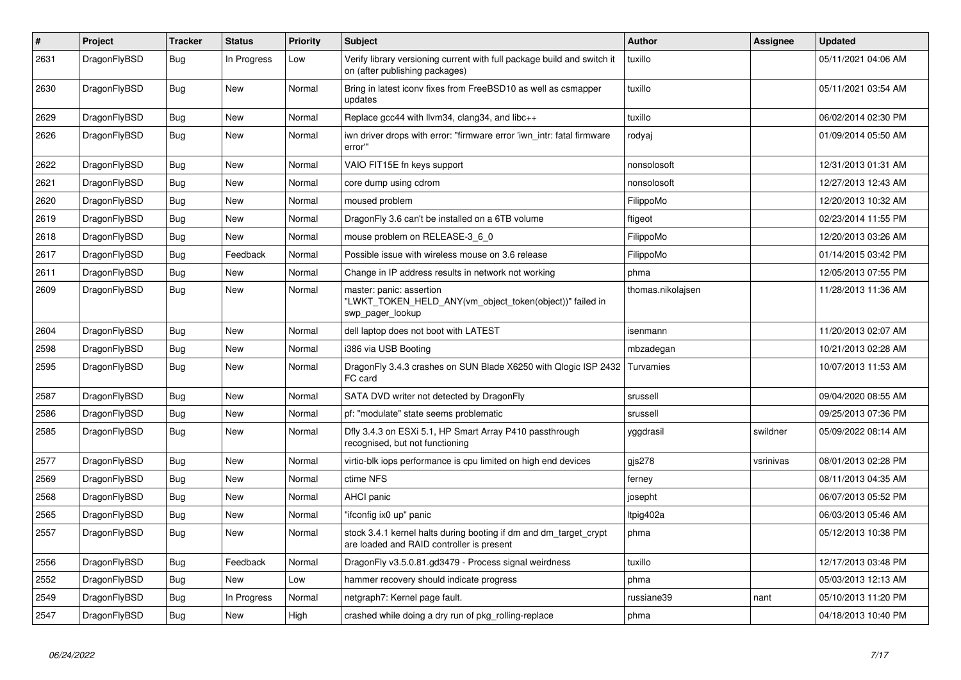| $\pmb{\#}$ | Project      | <b>Tracker</b> | <b>Status</b> | <b>Priority</b> | <b>Subject</b>                                                                                                 | <b>Author</b>     | Assignee  | <b>Updated</b>      |
|------------|--------------|----------------|---------------|-----------------|----------------------------------------------------------------------------------------------------------------|-------------------|-----------|---------------------|
| 2631       | DragonFlyBSD | Bug            | In Progress   | Low             | Verify library versioning current with full package build and switch it<br>on (after publishing packages)      | tuxillo           |           | 05/11/2021 04:06 AM |
| 2630       | DragonFlyBSD | <b>Bug</b>     | <b>New</b>    | Normal          | Bring in latest iconv fixes from FreeBSD10 as well as csmapper<br>updates                                      | tuxillo           |           | 05/11/2021 03:54 AM |
| 2629       | DragonFlyBSD | Bug            | <b>New</b>    | Normal          | Replace gcc44 with llvm34, clang34, and libc++                                                                 | tuxillo           |           | 06/02/2014 02:30 PM |
| 2626       | DragonFlyBSD | Bug            | <b>New</b>    | Normal          | iwn driver drops with error: "firmware error 'iwn_intr: fatal firmware<br>error"                               | rodyaj            |           | 01/09/2014 05:50 AM |
| 2622       | DragonFlyBSD | <b>Bug</b>     | <b>New</b>    | Normal          | VAIO FIT15E fn keys support                                                                                    | nonsolosoft       |           | 12/31/2013 01:31 AM |
| 2621       | DragonFlyBSD | Bug            | <b>New</b>    | Normal          | core dump using cdrom                                                                                          | nonsolosoft       |           | 12/27/2013 12:43 AM |
| 2620       | DragonFlyBSD | Bug            | <b>New</b>    | Normal          | moused problem                                                                                                 | FilippoMo         |           | 12/20/2013 10:32 AM |
| 2619       | DragonFlyBSD | Bug            | <b>New</b>    | Normal          | DragonFly 3.6 can't be installed on a 6TB volume                                                               | ftigeot           |           | 02/23/2014 11:55 PM |
| 2618       | DragonFlyBSD | <b>Bug</b>     | <b>New</b>    | Normal          | mouse problem on RELEASE-3_6_0                                                                                 | FilippoMo         |           | 12/20/2013 03:26 AM |
| 2617       | DragonFlyBSD | Bug            | Feedback      | Normal          | Possible issue with wireless mouse on 3.6 release                                                              | FilippoMo         |           | 01/14/2015 03:42 PM |
| 2611       | DragonFlyBSD | <b>Bug</b>     | <b>New</b>    | Normal          | Change in IP address results in network not working                                                            | phma              |           | 12/05/2013 07:55 PM |
| 2609       | DragonFlyBSD | <b>Bug</b>     | <b>New</b>    | Normal          | master: panic: assertion<br>"LWKT_TOKEN_HELD_ANY(vm_object_token(object))" failed in<br>swp pager lookup       | thomas.nikolajsen |           | 11/28/2013 11:36 AM |
| 2604       | DragonFlyBSD | <b>Bug</b>     | <b>New</b>    | Normal          | dell laptop does not boot with LATEST                                                                          | isenmann          |           | 11/20/2013 02:07 AM |
| 2598       | DragonFlyBSD | Bug            | <b>New</b>    | Normal          | i386 via USB Booting                                                                                           | mbzadegan         |           | 10/21/2013 02:28 AM |
| 2595       | DragonFlyBSD | Bug            | <b>New</b>    | Normal          | DragonFly 3.4.3 crashes on SUN Blade X6250 with Qlogic ISP 2432<br>FC card                                     | Turvamies         |           | 10/07/2013 11:53 AM |
| 2587       | DragonFlyBSD | Bug            | <b>New</b>    | Normal          | SATA DVD writer not detected by DragonFly                                                                      | srussell          |           | 09/04/2020 08:55 AM |
| 2586       | DragonFlyBSD | Bug            | <b>New</b>    | Normal          | pf: "modulate" state seems problematic                                                                         | srussell          |           | 09/25/2013 07:36 PM |
| 2585       | DragonFlyBSD | Bug            | New           | Normal          | Dfly 3.4.3 on ESXi 5.1, HP Smart Array P410 passthrough<br>recognised, but not functioning                     | yggdrasil         | swildner  | 05/09/2022 08:14 AM |
| 2577       | DragonFlyBSD | Bug            | <b>New</b>    | Normal          | virtio-blk iops performance is cpu limited on high end devices                                                 | gis278            | vsrinivas | 08/01/2013 02:28 PM |
| 2569       | DragonFlyBSD | Bug            | New           | Normal          | ctime NFS                                                                                                      | ferney            |           | 08/11/2013 04:35 AM |
| 2568       | DragonFlyBSD | Bug            | <b>New</b>    | Normal          | <b>AHCI</b> panic                                                                                              | josepht           |           | 06/07/2013 05:52 PM |
| 2565       | DragonFlyBSD | Bug            | New           | Normal          | "ifconfig ix0 up" panic                                                                                        | ltpig402a         |           | 06/03/2013 05:46 AM |
| 2557       | DragonFlyBSD | Bug            | New           | Normal          | stock 3.4.1 kernel halts during booting if dm and dm_target_crypt<br>are loaded and RAID controller is present | phma              |           | 05/12/2013 10:38 PM |
| 2556       | DragonFlyBSD | Bug            | Feedback      | Normal          | DragonFly v3.5.0.81.gd3479 - Process signal weirdness                                                          | tuxillo           |           | 12/17/2013 03:48 PM |
| 2552       | DragonFlyBSD | Bug            | <b>New</b>    | Low             | hammer recovery should indicate progress                                                                       | phma              |           | 05/03/2013 12:13 AM |
| 2549       | DragonFlyBSD | Bug            | In Progress   | Normal          | netgraph7: Kernel page fault.                                                                                  | russiane39        | nant      | 05/10/2013 11:20 PM |
| 2547       | DragonFlyBSD | Bug            | New           | High            | crashed while doing a dry run of pkg rolling-replace                                                           | phma              |           | 04/18/2013 10:40 PM |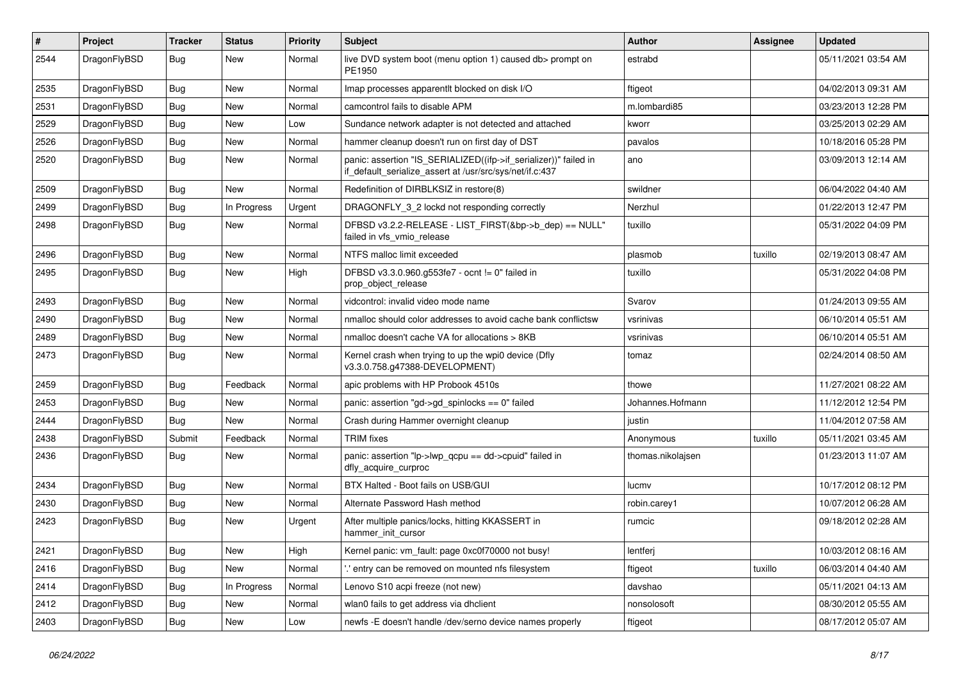| #    | Project      | <b>Tracker</b> | <b>Status</b> | <b>Priority</b> | <b>Subject</b>                                                                                                               | Author            | Assignee | <b>Updated</b>      |
|------|--------------|----------------|---------------|-----------------|------------------------------------------------------------------------------------------------------------------------------|-------------------|----------|---------------------|
| 2544 | DragonFlyBSD | Bug            | New           | Normal          | live DVD system boot (menu option 1) caused db> prompt on<br>PE1950                                                          | estrabd           |          | 05/11/2021 03:54 AM |
| 2535 | DragonFlyBSD | <b>Bug</b>     | <b>New</b>    | Normal          | Imap processes apparentlt blocked on disk I/O                                                                                | ftigeot           |          | 04/02/2013 09:31 AM |
| 2531 | DragonFlyBSD | Bug            | <b>New</b>    | Normal          | camcontrol fails to disable APM                                                                                              | m.lombardi85      |          | 03/23/2013 12:28 PM |
| 2529 | DragonFlyBSD | Bug            | <b>New</b>    | Low             | Sundance network adapter is not detected and attached                                                                        | kworr             |          | 03/25/2013 02:29 AM |
| 2526 | DragonFlyBSD | <b>Bug</b>     | New           | Normal          | hammer cleanup doesn't run on first day of DST                                                                               | pavalos           |          | 10/18/2016 05:28 PM |
| 2520 | DragonFlyBSD | Bug            | <b>New</b>    | Normal          | panic: assertion "IS_SERIALIZED((ifp->if_serializer))" failed in<br>if_default_serialize_assert at /usr/src/sys/net/if.c:437 | ano               |          | 03/09/2013 12:14 AM |
| 2509 | DragonFlyBSD | <b>Bug</b>     | <b>New</b>    | Normal          | Redefinition of DIRBLKSIZ in restore(8)                                                                                      | swildner          |          | 06/04/2022 04:40 AM |
| 2499 | DragonFlyBSD | Bug            | In Progress   | Urgent          | DRAGONFLY_3_2 lockd not responding correctly                                                                                 | Nerzhul           |          | 01/22/2013 12:47 PM |
| 2498 | DragonFlyBSD | Bug            | New           | Normal          | DFBSD v3.2.2-RELEASE - LIST_FIRST(&bp->b_dep) == NULL"<br>failed in vfs_vmio_release                                         | tuxillo           |          | 05/31/2022 04:09 PM |
| 2496 | DragonFlyBSD | Bug            | <b>New</b>    | Normal          | NTFS malloc limit exceeded                                                                                                   | plasmob           | tuxillo  | 02/19/2013 08:47 AM |
| 2495 | DragonFlyBSD | <b>Bug</b>     | New           | High            | DFBSD v3.3.0.960.g553fe7 - ocnt != 0" failed in<br>prop_object_release                                                       | tuxillo           |          | 05/31/2022 04:08 PM |
| 2493 | DragonFlyBSD | Bug            | <b>New</b>    | Normal          | vidcontrol: invalid video mode name                                                                                          | Svarov            |          | 01/24/2013 09:55 AM |
| 2490 | DragonFlyBSD | <b>Bug</b>     | <b>New</b>    | Normal          | nmalloc should color addresses to avoid cache bank conflictsw                                                                | vsrinivas         |          | 06/10/2014 05:51 AM |
| 2489 | DragonFlyBSD | <b>Bug</b>     | <b>New</b>    | Normal          | nmalloc doesn't cache VA for allocations > 8KB                                                                               | vsrinivas         |          | 06/10/2014 05:51 AM |
| 2473 | DragonFlyBSD | Bug            | New           | Normal          | Kernel crash when trying to up the wpi0 device (Dfly<br>v3.3.0.758.g47388-DEVELOPMENT)                                       | tomaz             |          | 02/24/2014 08:50 AM |
| 2459 | DragonFlyBSD | Bug            | Feedback      | Normal          | apic problems with HP Probook 4510s                                                                                          | thowe             |          | 11/27/2021 08:22 AM |
| 2453 | DragonFlyBSD | Bug            | New           | Normal          | panic: assertion "gd->gd spinlocks == $0$ " failed                                                                           | Johannes.Hofmann  |          | 11/12/2012 12:54 PM |
| 2444 | DragonFlyBSD | Bug            | <b>New</b>    | Normal          | Crash during Hammer overnight cleanup                                                                                        | justin            |          | 11/04/2012 07:58 AM |
| 2438 | DragonFlyBSD | Submit         | Feedback      | Normal          | <b>TRIM</b> fixes                                                                                                            | Anonymous         | tuxillo  | 05/11/2021 03:45 AM |
| 2436 | DragonFlyBSD | Bug            | New           | Normal          | panic: assertion "lp->lwp_qcpu == dd->cpuid" failed in<br>dfly_acquire_curproc                                               | thomas.nikolajsen |          | 01/23/2013 11:07 AM |
| 2434 | DragonFlyBSD | Bug            | <b>New</b>    | Normal          | BTX Halted - Boot fails on USB/GUI                                                                                           | lucmv             |          | 10/17/2012 08:12 PM |
| 2430 | DragonFlyBSD | <b>Bug</b>     | New           | Normal          | Alternate Password Hash method                                                                                               | robin.carey1      |          | 10/07/2012 06:28 AM |
| 2423 | DragonFlyBSD | Bug            | New           | Urgent          | After multiple panics/locks, hitting KKASSERT in<br>hammer init cursor                                                       | rumcic            |          | 09/18/2012 02:28 AM |
| 2421 | DragonFlyBSD | Bug            | New           | High            | Kernel panic: vm_fault: page 0xc0f70000 not busy!                                                                            | lentferj          |          | 10/03/2012 08:16 AM |
| 2416 | DragonFlyBSD | <b>Bug</b>     | New           | Normal          | 'entry can be removed on mounted nfs filesystem                                                                              | ftigeot           | tuxillo  | 06/03/2014 04:40 AM |
| 2414 | DragonFlyBSD | <b>Bug</b>     | In Progress   | Normal          | Lenovo S10 acpi freeze (not new)                                                                                             | davshao           |          | 05/11/2021 04:13 AM |
| 2412 | DragonFlyBSD | Bug            | New           | Normal          | wlan0 fails to get address via dhclient                                                                                      | nonsolosoft       |          | 08/30/2012 05:55 AM |
| 2403 | DragonFlyBSD | <b>Bug</b>     | New           | Low             | newfs -E doesn't handle /dev/serno device names properly                                                                     | ftigeot           |          | 08/17/2012 05:07 AM |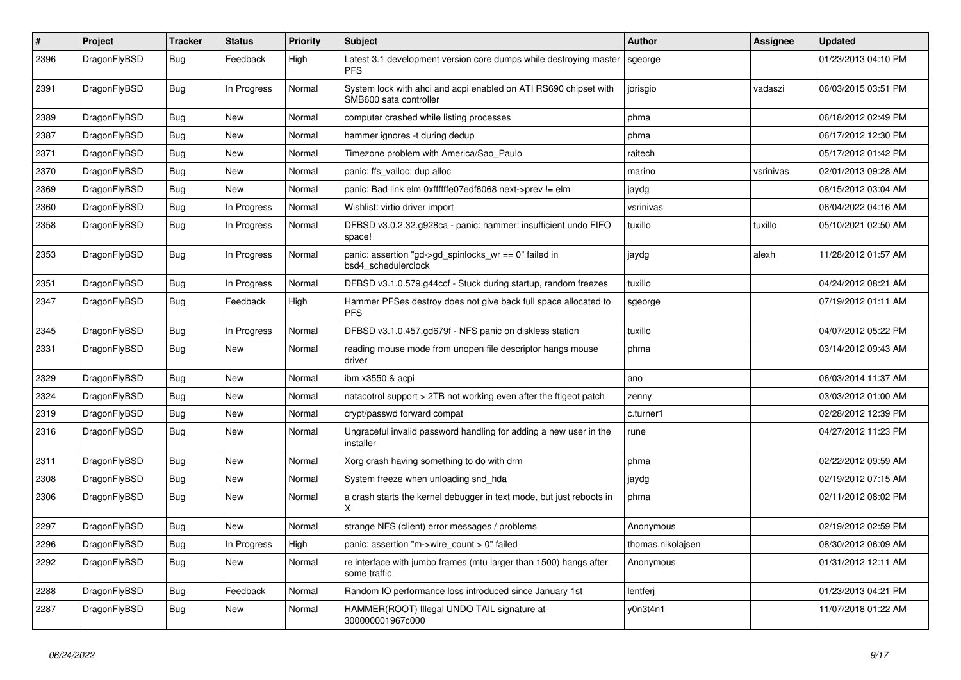| $\vert$ # | Project      | <b>Tracker</b> | <b>Status</b> | <b>Priority</b> | <b>Subject</b>                                                                             | <b>Author</b>     | Assignee  | <b>Updated</b>      |
|-----------|--------------|----------------|---------------|-----------------|--------------------------------------------------------------------------------------------|-------------------|-----------|---------------------|
| 2396      | DragonFlyBSD | <b>Bug</b>     | Feedback      | High            | Latest 3.1 development version core dumps while destroying master<br><b>PFS</b>            | sgeorge           |           | 01/23/2013 04:10 PM |
| 2391      | DragonFlyBSD | Bug            | In Progress   | Normal          | System lock with ahci and acpi enabled on ATI RS690 chipset with<br>SMB600 sata controller | jorisgio          | vadaszi   | 06/03/2015 03:51 PM |
| 2389      | DragonFlyBSD | Bug            | <b>New</b>    | Normal          | computer crashed while listing processes                                                   | phma              |           | 06/18/2012 02:49 PM |
| 2387      | DragonFlyBSD | Bug            | <b>New</b>    | Normal          | hammer ignores -t during dedup                                                             | phma              |           | 06/17/2012 12:30 PM |
| 2371      | DragonFlyBSD | <b>Bug</b>     | New           | Normal          | Timezone problem with America/Sao_Paulo                                                    | raitech           |           | 05/17/2012 01:42 PM |
| 2370      | DragonFlyBSD | <b>Bug</b>     | New           | Normal          | panic: ffs_valloc: dup alloc                                                               | marino            | vsrinivas | 02/01/2013 09:28 AM |
| 2369      | DragonFlyBSD | <b>Bug</b>     | <b>New</b>    | Normal          | panic: Bad link elm 0xffffffe07edf6068 next->prev != elm                                   | jaydg             |           | 08/15/2012 03:04 AM |
| 2360      | DragonFlyBSD | <b>Bug</b>     | In Progress   | Normal          | Wishlist: virtio driver import                                                             | vsrinivas         |           | 06/04/2022 04:16 AM |
| 2358      | DragonFlyBSD | <b>Bug</b>     | In Progress   | Normal          | DFBSD v3.0.2.32.g928ca - panic: hammer: insufficient undo FIFO<br>space!                   | tuxillo           | tuxillo   | 05/10/2021 02:50 AM |
| 2353      | DragonFlyBSD | <b>Bug</b>     | In Progress   | Normal          | panic: assertion "gd->gd_spinlocks_wr == 0" failed in<br>bsd4 schedulerclock               | jaydg             | alexh     | 11/28/2012 01:57 AM |
| 2351      | DragonFlyBSD | Bug            | In Progress   | Normal          | DFBSD v3.1.0.579.g44ccf - Stuck during startup, random freezes                             | tuxillo           |           | 04/24/2012 08:21 AM |
| 2347      | DragonFlyBSD | Bug            | Feedback      | High            | Hammer PFSes destroy does not give back full space allocated to<br><b>PFS</b>              | sgeorge           |           | 07/19/2012 01:11 AM |
| 2345      | DragonFlyBSD | <b>Bug</b>     | In Progress   | Normal          | DFBSD v3.1.0.457.gd679f - NFS panic on diskless station                                    | tuxillo           |           | 04/07/2012 05:22 PM |
| 2331      | DragonFlyBSD | Bug            | New           | Normal          | reading mouse mode from unopen file descriptor hangs mouse<br>driver                       | phma              |           | 03/14/2012 09:43 AM |
| 2329      | DragonFlyBSD | <b>Bug</b>     | <b>New</b>    | Normal          | ibm x3550 & acpi                                                                           | ano               |           | 06/03/2014 11:37 AM |
| 2324      | DragonFlyBSD | Bug            | New           | Normal          | natacotrol support > 2TB not working even after the ftigeot patch                          | zenny             |           | 03/03/2012 01:00 AM |
| 2319      | DragonFlyBSD | Bug            | <b>New</b>    | Normal          | crypt/passwd forward compat                                                                | c.turner1         |           | 02/28/2012 12:39 PM |
| 2316      | DragonFlyBSD | <b>Bug</b>     | <b>New</b>    | Normal          | Ungraceful invalid password handling for adding a new user in the<br>installer             | rune              |           | 04/27/2012 11:23 PM |
| 2311      | DragonFlyBSD | <b>Bug</b>     | <b>New</b>    | Normal          | Xorg crash having something to do with drm                                                 | phma              |           | 02/22/2012 09:59 AM |
| 2308      | DragonFlyBSD | <b>Bug</b>     | <b>New</b>    | Normal          | System freeze when unloading snd hda                                                       | jaydg             |           | 02/19/2012 07:15 AM |
| 2306      | DragonFlyBSD | <b>Bug</b>     | <b>New</b>    | Normal          | a crash starts the kernel debugger in text mode, but just reboots in<br>X                  | phma              |           | 02/11/2012 08:02 PM |
| 2297      | DragonFlyBSD | Bug            | <b>New</b>    | Normal          | strange NFS (client) error messages / problems                                             | Anonymous         |           | 02/19/2012 02:59 PM |
| 2296      | DragonFlyBSD | Bug            | In Progress   | High            | panic: assertion "m->wire_count > 0" failed                                                | thomas.nikolajsen |           | 08/30/2012 06:09 AM |
| 2292      | DragonFlyBSD | Bug            | <b>New</b>    | Normal          | re interface with jumbo frames (mtu larger than 1500) hangs after<br>some traffic          | Anonymous         |           | 01/31/2012 12:11 AM |
| 2288      | DragonFlyBSD | Bug            | Feedback      | Normal          | Random IO performance loss introduced since January 1st                                    | lentferj          |           | 01/23/2013 04:21 PM |
| 2287      | DragonFlyBSD | Bug            | <b>New</b>    | Normal          | HAMMER(ROOT) Illegal UNDO TAIL signature at<br>300000001967c000                            | y0n3t4n1          |           | 11/07/2018 01:22 AM |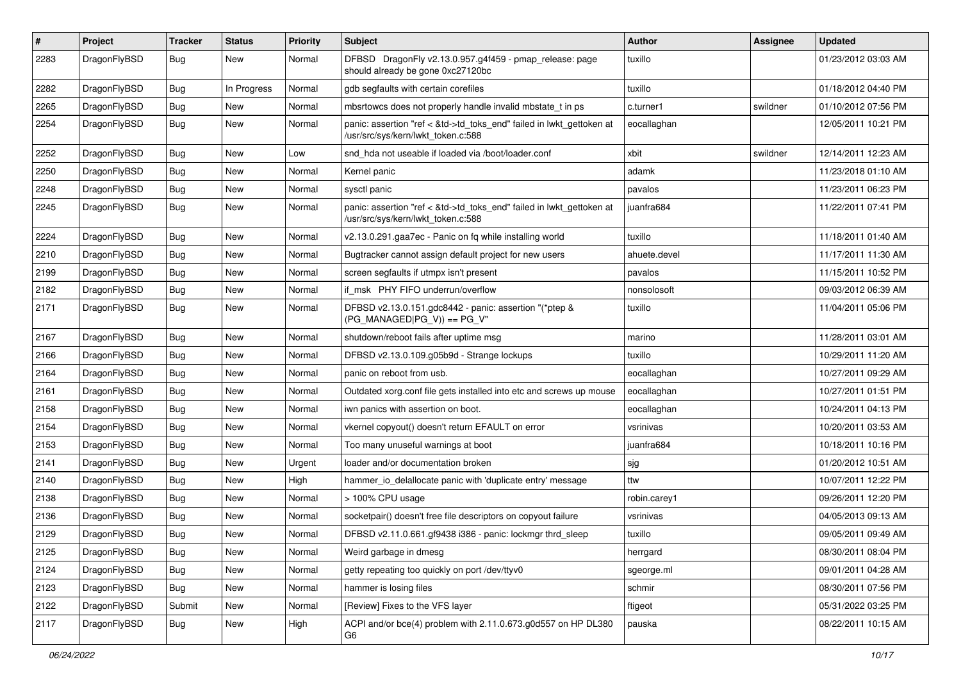| $\sharp$ | Project      | <b>Tracker</b> | <b>Status</b> | <b>Priority</b> | Subject                                                                                                    | <b>Author</b> | Assignee | <b>Updated</b>      |
|----------|--------------|----------------|---------------|-----------------|------------------------------------------------------------------------------------------------------------|---------------|----------|---------------------|
| 2283     | DragonFlyBSD | Bug            | New           | Normal          | DFBSD DragonFly v2.13.0.957.g4f459 - pmap_release: page<br>should already be gone 0xc27120bc               | tuxillo       |          | 01/23/2012 03:03 AM |
| 2282     | DragonFlyBSD | Bug            | In Progress   | Normal          | gdb segfaults with certain corefiles                                                                       | tuxillo       |          | 01/18/2012 04:40 PM |
| 2265     | DragonFlyBSD | <b>Bug</b>     | New           | Normal          | mbsrtowcs does not properly handle invalid mbstate t in ps                                                 | c.turner1     | swildner | 01/10/2012 07:56 PM |
| 2254     | DragonFlyBSD | Bug            | New           | Normal          | panic: assertion "ref < &td->td_toks_end" failed in lwkt_gettoken at<br>/usr/src/sys/kern/lwkt_token.c:588 | eocallaghan   |          | 12/05/2011 10:21 PM |
| 2252     | DragonFlyBSD | Bug            | New           | Low             | snd_hda not useable if loaded via /boot/loader.conf                                                        | xbit          | swildner | 12/14/2011 12:23 AM |
| 2250     | DragonFlyBSD | Bug            | <b>New</b>    | Normal          | Kernel panic                                                                                               | adamk         |          | 11/23/2018 01:10 AM |
| 2248     | DragonFlyBSD | Bug            | <b>New</b>    | Normal          | sysctl panic                                                                                               | pavalos       |          | 11/23/2011 06:23 PM |
| 2245     | DragonFlyBSD | Bug            | New           | Normal          | panic: assertion "ref < &td->td_toks_end" failed in lwkt_gettoken at<br>/usr/src/sys/kern/lwkt token.c:588 | juanfra684    |          | 11/22/2011 07:41 PM |
| 2224     | DragonFlyBSD | Bug            | New           | Normal          | v2.13.0.291.gaa7ec - Panic on fq while installing world                                                    | tuxillo       |          | 11/18/2011 01:40 AM |
| 2210     | DragonFlyBSD | Bug            | <b>New</b>    | Normal          | Bugtracker cannot assign default project for new users                                                     | ahuete.devel  |          | 11/17/2011 11:30 AM |
| 2199     | DragonFlyBSD | Bug            | New           | Normal          | screen segfaults if utmpx isn't present                                                                    | pavalos       |          | 11/15/2011 10:52 PM |
| 2182     | DragonFlyBSD | Bug            | New           | Normal          | if msk PHY FIFO underrun/overflow                                                                          | nonsolosoft   |          | 09/03/2012 06:39 AM |
| 2171     | DragonFlyBSD | Bug            | New           | Normal          | DFBSD v2.13.0.151.gdc8442 - panic: assertion "(*ptep &<br>$(PG MANAGED PG V)) == PG V"$                    | tuxillo       |          | 11/04/2011 05:06 PM |
| 2167     | DragonFlyBSD | Bug            | <b>New</b>    | Normal          | shutdown/reboot fails after uptime msg                                                                     | marino        |          | 11/28/2011 03:01 AM |
| 2166     | DragonFlyBSD | Bug            | <b>New</b>    | Normal          | DFBSD v2.13.0.109.g05b9d - Strange lockups                                                                 | tuxillo       |          | 10/29/2011 11:20 AM |
| 2164     | DragonFlyBSD | Bug            | New           | Normal          | panic on reboot from usb.                                                                                  | eocallaghan   |          | 10/27/2011 09:29 AM |
| 2161     | DragonFlyBSD | Bug            | New           | Normal          | Outdated xorg.conf file gets installed into etc and screws up mouse                                        | eocallaghan   |          | 10/27/2011 01:51 PM |
| 2158     | DragonFlyBSD | Bug            | <b>New</b>    | Normal          | iwn panics with assertion on boot.                                                                         | eocallaghan   |          | 10/24/2011 04:13 PM |
| 2154     | DragonFlyBSD | Bug            | New           | Normal          | vkernel copyout() doesn't return EFAULT on error                                                           | vsrinivas     |          | 10/20/2011 03:53 AM |
| 2153     | DragonFlyBSD | <b>Bug</b>     | New           | Normal          | Too many unuseful warnings at boot                                                                         | juanfra684    |          | 10/18/2011 10:16 PM |
| 2141     | DragonFlyBSD | <b>Bug</b>     | New           | Urgent          | loader and/or documentation broken                                                                         | sjg           |          | 01/20/2012 10:51 AM |
| 2140     | DragonFlyBSD | Bug            | New           | High            | hammer_io_delallocate panic with 'duplicate entry' message                                                 | ttw           |          | 10/07/2011 12:22 PM |
| 2138     | DragonFlyBSD | <b>Bug</b>     | New           | Normal          | > 100% CPU usage                                                                                           | robin.carey1  |          | 09/26/2011 12:20 PM |
| 2136     | DragonFlyBSD | <b>Bug</b>     | <b>New</b>    | Normal          | socketpair() doesn't free file descriptors on copyout failure                                              | vsrinivas     |          | 04/05/2013 09:13 AM |
| 2129     | DragonFlyBSD | Bug            | <b>New</b>    | Normal          | DFBSD v2.11.0.661.gf9438 i386 - panic: lockmgr thrd sleep                                                  | tuxillo       |          | 09/05/2011 09:49 AM |
| 2125     | DragonFlyBSD | <b>Bug</b>     | New           | Normal          | Weird garbage in dmesg                                                                                     | herrgard      |          | 08/30/2011 08:04 PM |
| 2124     | DragonFlyBSD | <b>Bug</b>     | New           | Normal          | getty repeating too quickly on port /dev/ttyv0                                                             | sgeorge.ml    |          | 09/01/2011 04:28 AM |
| 2123     | DragonFlyBSD | <b>Bug</b>     | New           | Normal          | hammer is losing files                                                                                     | schmir        |          | 08/30/2011 07:56 PM |
| 2122     | DragonFlyBSD | Submit         | New           | Normal          | [Review] Fixes to the VFS layer                                                                            | ftigeot       |          | 05/31/2022 03:25 PM |
| 2117     | DragonFlyBSD | <b>Bug</b>     | New           | High            | ACPI and/or bce(4) problem with 2.11.0.673.g0d557 on HP DL380<br>G6                                        | pauska        |          | 08/22/2011 10:15 AM |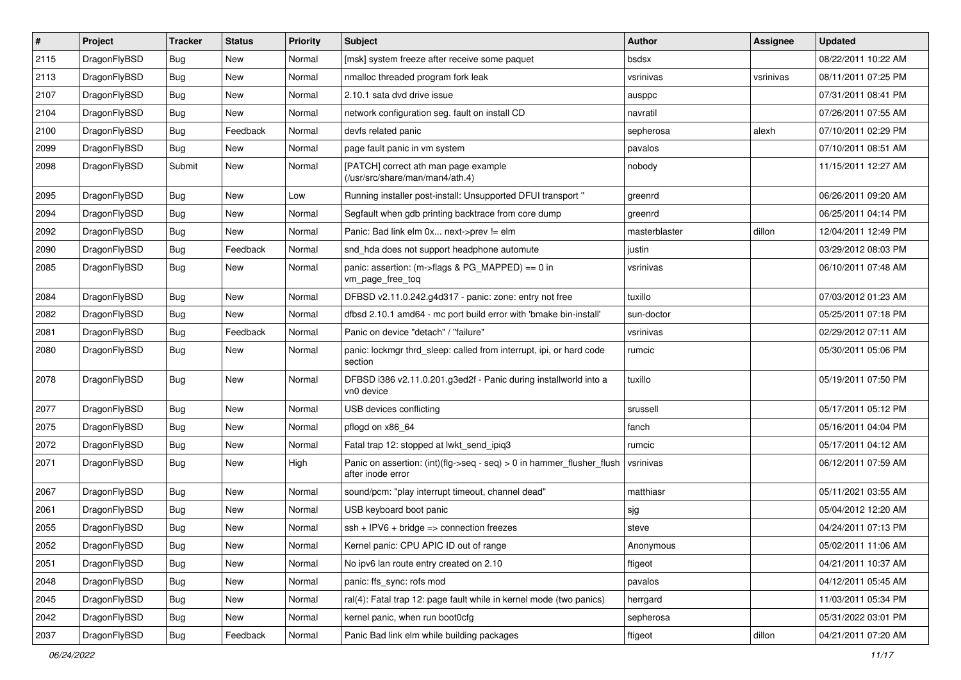| $\vert$ # | Project      | <b>Tracker</b> | <b>Status</b> | <b>Priority</b> | Subject                                                                                    | <b>Author</b> | <b>Assignee</b> | <b>Updated</b>      |
|-----------|--------------|----------------|---------------|-----------------|--------------------------------------------------------------------------------------------|---------------|-----------------|---------------------|
| 2115      | DragonFlyBSD | Bug            | <b>New</b>    | Normal          | [msk] system freeze after receive some paquet                                              | bsdsx         |                 | 08/22/2011 10:22 AM |
| 2113      | DragonFlyBSD | Bug            | <b>New</b>    | Normal          | nmalloc threaded program fork leak                                                         | vsrinivas     | vsrinivas       | 08/11/2011 07:25 PM |
| 2107      | DragonFlyBSD | Bug            | <b>New</b>    | Normal          | 2.10.1 sata dvd drive issue                                                                | ausppc        |                 | 07/31/2011 08:41 PM |
| 2104      | DragonFlyBSD | Bug            | <b>New</b>    | Normal          | network configuration seg. fault on install CD                                             | navratil      |                 | 07/26/2011 07:55 AM |
| 2100      | DragonFlyBSD | Bug            | Feedback      | Normal          | devfs related panic                                                                        | sepherosa     | alexh           | 07/10/2011 02:29 PM |
| 2099      | DragonFlyBSD | Bug            | New           | Normal          | page fault panic in vm system                                                              | pavalos       |                 | 07/10/2011 08:51 AM |
| 2098      | DragonFlyBSD | Submit         | <b>New</b>    | Normal          | [PATCH] correct ath man page example<br>(/usr/src/share/man/man4/ath.4)                    | nobody        |                 | 11/15/2011 12:27 AM |
| 2095      | DragonFlyBSD | Bug            | <b>New</b>    | Low             | Running installer post-install: Unsupported DFUI transport "                               | greenrd       |                 | 06/26/2011 09:20 AM |
| 2094      | DragonFlyBSD | Bug            | <b>New</b>    | Normal          | Segfault when gdb printing backtrace from core dump                                        | greenrd       |                 | 06/25/2011 04:14 PM |
| 2092      | DragonFlyBSD | Bug            | <b>New</b>    | Normal          | Panic: Bad link elm 0x next->prev != elm                                                   | masterblaster | dillon          | 12/04/2011 12:49 PM |
| 2090      | DragonFlyBSD | Bug            | Feedback      | Normal          | snd_hda does not support headphone automute                                                | justin        |                 | 03/29/2012 08:03 PM |
| 2085      | DragonFlyBSD | Bug            | New           | Normal          | panic: assertion: (m->flags & PG_MAPPED) == 0 in<br>vm_page_free_toq                       | vsrinivas     |                 | 06/10/2011 07:48 AM |
| 2084      | DragonFlyBSD | Bug            | <b>New</b>    | Normal          | DFBSD v2.11.0.242.g4d317 - panic: zone: entry not free                                     | tuxillo       |                 | 07/03/2012 01:23 AM |
| 2082      | DragonFlyBSD | Bug            | <b>New</b>    | Normal          | dfbsd 2.10.1 amd64 - mc port build error with 'bmake bin-install'                          | sun-doctor    |                 | 05/25/2011 07:18 PM |
| 2081      | DragonFlyBSD | Bug            | Feedback      | Normal          | Panic on device "detach" / "failure"                                                       | vsrinivas     |                 | 02/29/2012 07:11 AM |
| 2080      | DragonFlyBSD | Bug            | New           | Normal          | panic: lockmgr thrd_sleep: called from interrupt, ipi, or hard code<br>section             | rumcic        |                 | 05/30/2011 05:06 PM |
| 2078      | DragonFlyBSD | Bug            | <b>New</b>    | Normal          | DFBSD i386 v2.11.0.201.g3ed2f - Panic during installworld into a<br>vn0 device             | tuxillo       |                 | 05/19/2011 07:50 PM |
| 2077      | DragonFlyBSD | Bug            | New           | Normal          | USB devices conflicting                                                                    | srussell      |                 | 05/17/2011 05:12 PM |
| 2075      | DragonFlyBSD | Bug            | <b>New</b>    | Normal          | pflogd on x86 64                                                                           | fanch         |                 | 05/16/2011 04:04 PM |
| 2072      | DragonFlyBSD | Bug            | New           | Normal          | Fatal trap 12: stopped at lwkt send ipig3                                                  | rumcic        |                 | 05/17/2011 04:12 AM |
| 2071      | DragonFlyBSD | Bug            | <b>New</b>    | High            | Panic on assertion: (int)(flg->seq - seq) > 0 in hammer_flusher_flush<br>after inode error | vsrinivas     |                 | 06/12/2011 07:59 AM |
| 2067      | DragonFlyBSD | Bug            | <b>New</b>    | Normal          | sound/pcm: "play interrupt timeout, channel dead"                                          | matthiasr     |                 | 05/11/2021 03:55 AM |
| 2061      | DragonFlyBSD | Bug            | <b>New</b>    | Normal          | USB keyboard boot panic                                                                    | sjg           |                 | 05/04/2012 12:20 AM |
| 2055      | DragonFlyBSD | Bug            | <b>New</b>    | Normal          | $ssh + IPV6 + bridge \Rightarrow connection freezes$                                       | steve         |                 | 04/24/2011 07:13 PM |
| 2052      | DragonFlyBSD | Bug            | New           | Normal          | Kernel panic: CPU APIC ID out of range                                                     | Anonymous     |                 | 05/02/2011 11:06 AM |
| 2051      | DragonFlyBSD | <b>Bug</b>     | New           | Normal          | No ipv6 lan route entry created on 2.10                                                    | ftigeot       |                 | 04/21/2011 10:37 AM |
| 2048      | DragonFlyBSD | <b>Bug</b>     | New           | Normal          | panic: ffs_sync: rofs mod                                                                  | pavalos       |                 | 04/12/2011 05:45 AM |
| 2045      | DragonFlyBSD | Bug            | New           | Normal          | ral(4): Fatal trap 12: page fault while in kernel mode (two panics)                        | herrgard      |                 | 11/03/2011 05:34 PM |
| 2042      | DragonFlyBSD | <b>Bug</b>     | New           | Normal          | kernel panic, when run boot0cfg                                                            | sepherosa     |                 | 05/31/2022 03:01 PM |
| 2037      | DragonFlyBSD | Bug            | Feedback      | Normal          | Panic Bad link elm while building packages                                                 | ftigeot       | dillon          | 04/21/2011 07:20 AM |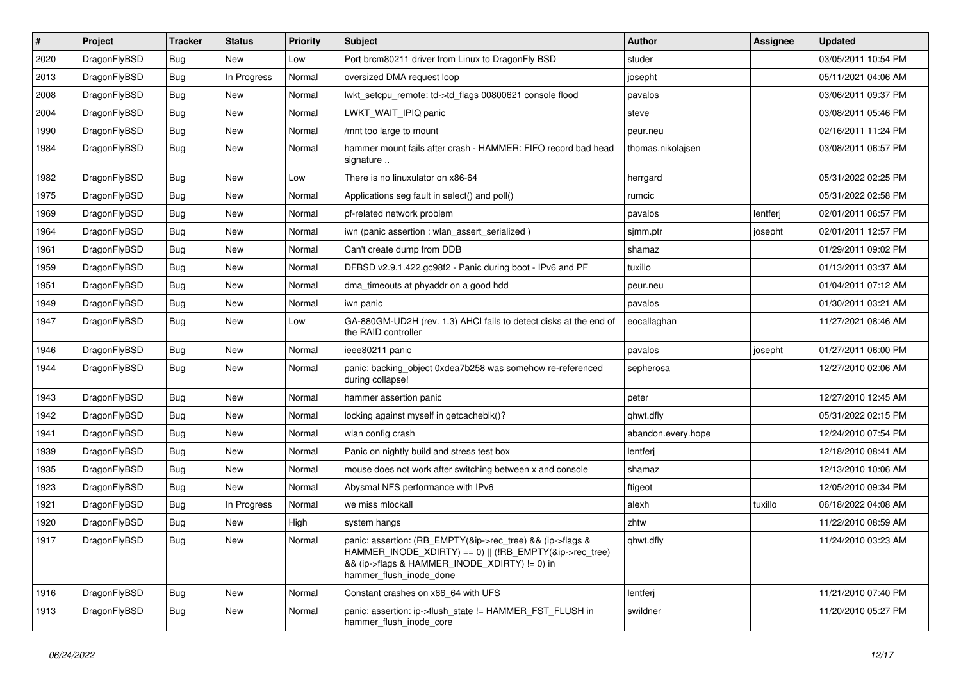| $\#$ | Project      | <b>Tracker</b> | <b>Status</b> | <b>Priority</b> | <b>Subject</b>                                                                                                                                                                                    | <b>Author</b>      | <b>Assignee</b> | <b>Updated</b>      |
|------|--------------|----------------|---------------|-----------------|---------------------------------------------------------------------------------------------------------------------------------------------------------------------------------------------------|--------------------|-----------------|---------------------|
| 2020 | DragonFlyBSD | Bug            | New           | Low             | Port brcm80211 driver from Linux to DragonFly BSD                                                                                                                                                 | studer             |                 | 03/05/2011 10:54 PM |
| 2013 | DragonFlyBSD | <b>Bug</b>     | In Progress   | Normal          | oversized DMA request loop                                                                                                                                                                        | josepht            |                 | 05/11/2021 04:06 AM |
| 2008 | DragonFlyBSD | <b>Bug</b>     | New           | Normal          | lwkt_setcpu_remote: td->td_flags 00800621 console flood                                                                                                                                           | pavalos            |                 | 03/06/2011 09:37 PM |
| 2004 | DragonFlyBSD | Bug            | <b>New</b>    | Normal          | LWKT WAIT IPIQ panic                                                                                                                                                                              | steve              |                 | 03/08/2011 05:46 PM |
| 1990 | DragonFlyBSD | Bug            | <b>New</b>    | Normal          | /mnt too large to mount                                                                                                                                                                           | peur.neu           |                 | 02/16/2011 11:24 PM |
| 1984 | DragonFlyBSD | Bug            | New           | Normal          | hammer mount fails after crash - HAMMER: FIFO record bad head<br>signature                                                                                                                        | thomas.nikolajsen  |                 | 03/08/2011 06:57 PM |
| 1982 | DragonFlyBSD | Bug            | New           | Low             | There is no linuxulator on x86-64                                                                                                                                                                 | herrgard           |                 | 05/31/2022 02:25 PM |
| 1975 | DragonFlyBSD | Bug            | New           | Normal          | Applications seg fault in select() and poll()                                                                                                                                                     | rumcic             |                 | 05/31/2022 02:58 PM |
| 1969 | DragonFlyBSD | <b>Bug</b>     | <b>New</b>    | Normal          | pf-related network problem                                                                                                                                                                        | pavalos            | lentferj        | 02/01/2011 06:57 PM |
| 1964 | DragonFlyBSD | <b>Bug</b>     | New           | Normal          | iwn (panic assertion : wlan assert serialized)                                                                                                                                                    | sjmm.ptr           | josepht         | 02/01/2011 12:57 PM |
| 1961 | DragonFlyBSD | Bug            | <b>New</b>    | Normal          | Can't create dump from DDB                                                                                                                                                                        | shamaz             |                 | 01/29/2011 09:02 PM |
| 1959 | DragonFlyBSD | Bug            | New           | Normal          | DFBSD v2.9.1.422.gc98f2 - Panic during boot - IPv6 and PF                                                                                                                                         | tuxillo            |                 | 01/13/2011 03:37 AM |
| 1951 | DragonFlyBSD | Bug            | New           | Normal          | dma_timeouts at phyaddr on a good hdd                                                                                                                                                             | peur.neu           |                 | 01/04/2011 07:12 AM |
| 1949 | DragonFlyBSD | <b>Bug</b>     | New           | Normal          | iwn panic                                                                                                                                                                                         | pavalos            |                 | 01/30/2011 03:21 AM |
| 1947 | DragonFlyBSD | <b>Bug</b>     | New           | Low             | GA-880GM-UD2H (rev. 1.3) AHCI fails to detect disks at the end of<br>the RAID controller                                                                                                          | eocallaghan        |                 | 11/27/2021 08:46 AM |
| 1946 | DragonFlyBSD | Bug            | <b>New</b>    | Normal          | ieee80211 panic                                                                                                                                                                                   | pavalos            | josepht         | 01/27/2011 06:00 PM |
| 1944 | DragonFlyBSD | <b>Bug</b>     | New           | Normal          | panic: backing_object 0xdea7b258 was somehow re-referenced<br>during collapse!                                                                                                                    | sepherosa          |                 | 12/27/2010 02:06 AM |
| 1943 | DragonFlyBSD | Bug            | New           | Normal          | hammer assertion panic                                                                                                                                                                            | peter              |                 | 12/27/2010 12:45 AM |
| 1942 | DragonFlyBSD | Bug            | New           | Normal          | locking against myself in getcacheblk()?                                                                                                                                                          | qhwt.dfly          |                 | 05/31/2022 02:15 PM |
| 1941 | DragonFlyBSD | <b>Bug</b>     | <b>New</b>    | Normal          | wlan config crash                                                                                                                                                                                 | abandon.every.hope |                 | 12/24/2010 07:54 PM |
| 1939 | DragonFlyBSD | Bug            | New           | Normal          | Panic on nightly build and stress test box                                                                                                                                                        | lentferj           |                 | 12/18/2010 08:41 AM |
| 1935 | DragonFlyBSD | Bug            | New           | Normal          | mouse does not work after switching between x and console                                                                                                                                         | shamaz             |                 | 12/13/2010 10:06 AM |
| 1923 | DragonFlyBSD | <b>Bug</b>     | New           | Normal          | Abysmal NFS performance with IPv6                                                                                                                                                                 | ftigeot            |                 | 12/05/2010 09:34 PM |
| 1921 | DragonFlyBSD | Bug            | In Progress   | Normal          | we miss mlockall                                                                                                                                                                                  | alexh              | tuxillo         | 06/18/2022 04:08 AM |
| 1920 | DragonFlyBSD | <b>Bug</b>     | New           | High            | system hangs                                                                                                                                                                                      | zhtw               |                 | 11/22/2010 08:59 AM |
| 1917 | DragonFlyBSD | Bug            | New           | Normal          | panic: assertion: (RB_EMPTY(&ip->rec_tree) && (ip->flags &<br>HAMMER_INODE_XDIRTY) == 0)    (!RB_EMPTY(&ip->rec_tree)<br>&& (ip->flags & HAMMER_INODE_XDIRTY) != 0) in<br>hammer_flush_inode_done | qhwt.dfly          |                 | 11/24/2010 03:23 AM |
| 1916 | DragonFlyBSD | Bug            | New           | Normal          | Constant crashes on x86 64 with UFS                                                                                                                                                               | lentferj           |                 | 11/21/2010 07:40 PM |
| 1913 | DragonFlyBSD | Bug            | New           | Normal          | panic: assertion: ip->flush_state != HAMMER_FST_FLUSH in<br>hammer_flush_inode_core                                                                                                               | swildner           |                 | 11/20/2010 05:27 PM |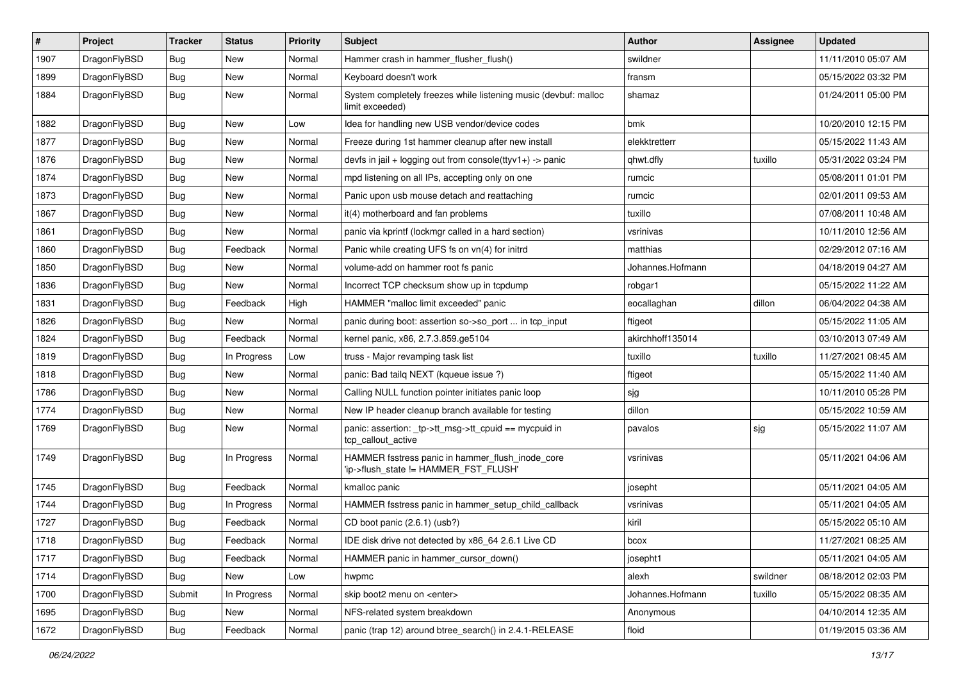| $\sharp$ | Project      | <b>Tracker</b> | <b>Status</b> | <b>Priority</b> | Subject                                                                                   | <b>Author</b>    | Assignee | <b>Updated</b>      |
|----------|--------------|----------------|---------------|-----------------|-------------------------------------------------------------------------------------------|------------------|----------|---------------------|
| 1907     | DragonFlyBSD | <b>Bug</b>     | New           | Normal          | Hammer crash in hammer_flusher_flush()                                                    | swildner         |          | 11/11/2010 05:07 AM |
| 1899     | DragonFlyBSD | Bug            | <b>New</b>    | Normal          | Keyboard doesn't work                                                                     | fransm           |          | 05/15/2022 03:32 PM |
| 1884     | DragonFlyBSD | <b>Bug</b>     | <b>New</b>    | Normal          | System completely freezes while listening music (devbuf: malloc<br>limit exceeded)        | shamaz           |          | 01/24/2011 05:00 PM |
| 1882     | DragonFlyBSD | Bug            | <b>New</b>    | Low             | Idea for handling new USB vendor/device codes                                             | bmk              |          | 10/20/2010 12:15 PM |
| 1877     | DragonFlyBSD | Bug            | New           | Normal          | Freeze during 1st hammer cleanup after new install                                        | elekktretterr    |          | 05/15/2022 11:43 AM |
| 1876     | DragonFlyBSD | Bug            | <b>New</b>    | Normal          | devfs in jail + logging out from console(ttyv1+) -> panic                                 | qhwt.dfly        | tuxillo  | 05/31/2022 03:24 PM |
| 1874     | DragonFlyBSD | Bug            | <b>New</b>    | Normal          | mpd listening on all IPs, accepting only on one                                           | rumcic           |          | 05/08/2011 01:01 PM |
| 1873     | DragonFlyBSD | Bug            | New           | Normal          | Panic upon usb mouse detach and reattaching                                               | rumcic           |          | 02/01/2011 09:53 AM |
| 1867     | DragonFlyBSD | Bug            | <b>New</b>    | Normal          | it(4) motherboard and fan problems                                                        | tuxillo          |          | 07/08/2011 10:48 AM |
| 1861     | DragonFlyBSD | Bug            | New           | Normal          | panic via kprintf (lockmgr called in a hard section)                                      | vsrinivas        |          | 10/11/2010 12:56 AM |
| 1860     | DragonFlyBSD | Bug            | Feedback      | Normal          | Panic while creating UFS fs on vn(4) for initrd                                           | matthias         |          | 02/29/2012 07:16 AM |
| 1850     | DragonFlyBSD | Bug            | New           | Normal          | volume-add on hammer root fs panic                                                        | Johannes.Hofmann |          | 04/18/2019 04:27 AM |
| 1836     | DragonFlyBSD | Bug            | New           | Normal          | Incorrect TCP checksum show up in tcpdump                                                 | robgar1          |          | 05/15/2022 11:22 AM |
| 1831     | DragonFlyBSD | Bug            | Feedback      | High            | HAMMER "malloc limit exceeded" panic                                                      | eocallaghan      | dillon   | 06/04/2022 04:38 AM |
| 1826     | DragonFlyBSD | Bug            | New           | Normal          | panic during boot: assertion so->so_port  in tcp_input                                    | ftigeot          |          | 05/15/2022 11:05 AM |
| 1824     | DragonFlyBSD | Bug            | Feedback      | Normal          | kernel panic, x86, 2.7.3.859.ge5104                                                       | akirchhoff135014 |          | 03/10/2013 07:49 AM |
| 1819     | DragonFlyBSD | Bug            | In Progress   | Low             | truss - Major revamping task list                                                         | tuxillo          | tuxillo  | 11/27/2021 08:45 AM |
| 1818     | DragonFlyBSD | Bug            | New           | Normal          | panic: Bad tailq NEXT (kqueue issue ?)                                                    | ftigeot          |          | 05/15/2022 11:40 AM |
| 1786     | DragonFlyBSD | Bug            | <b>New</b>    | Normal          | Calling NULL function pointer initiates panic loop                                        | sjg              |          | 10/11/2010 05:28 PM |
| 1774     | DragonFlyBSD | Bug            | New           | Normal          | New IP header cleanup branch available for testing                                        | dillon           |          | 05/15/2022 10:59 AM |
| 1769     | DragonFlyBSD | Bug            | New           | Normal          | panic: assertion: _tp->tt_msg->tt_cpuid == mycpuid in<br>tcp_callout_active               | pavalos          | sjg      | 05/15/2022 11:07 AM |
| 1749     | DragonFlyBSD | Bug            | In Progress   | Normal          | HAMMER fsstress panic in hammer_flush_inode_core<br>'ip->flush_state != HAMMER_FST_FLUSH' | vsrinivas        |          | 05/11/2021 04:06 AM |
| 1745     | DragonFlyBSD | Bug            | Feedback      | Normal          | kmalloc panic                                                                             | josepht          |          | 05/11/2021 04:05 AM |
| 1744     | DragonFlyBSD | Bug            | In Progress   | Normal          | HAMMER fsstress panic in hammer setup child callback                                      | vsrinivas        |          | 05/11/2021 04:05 AM |
| 1727     | DragonFlyBSD | Bug            | Feedback      | Normal          | CD boot panic (2.6.1) (usb?)                                                              | kiril            |          | 05/15/2022 05:10 AM |
| 1718     | DragonFlyBSD | Bug            | Feedback      | Normal          | IDE disk drive not detected by x86_64 2.6.1 Live CD                                       | bcox             |          | 11/27/2021 08:25 AM |
| 1717     | DragonFlyBSD | <b>Bug</b>     | Feedback      | Normal          | HAMMER panic in hammer cursor down()                                                      | josepht1         |          | 05/11/2021 04:05 AM |
| 1714     | DragonFlyBSD | <b>Bug</b>     | New           | Low             | hwpmc                                                                                     | alexh            | swildner | 08/18/2012 02:03 PM |
| 1700     | DragonFlyBSD | Submit         | In Progress   | Normal          | skip boot2 menu on <enter></enter>                                                        | Johannes.Hofmann | tuxillo  | 05/15/2022 08:35 AM |
| 1695     | DragonFlyBSD | Bug            | New           | Normal          | NFS-related system breakdown                                                              | Anonymous        |          | 04/10/2014 12:35 AM |
| 1672     | DragonFlyBSD | <b>Bug</b>     | Feedback      | Normal          | panic (trap 12) around btree_search() in 2.4.1-RELEASE                                    | floid            |          | 01/19/2015 03:36 AM |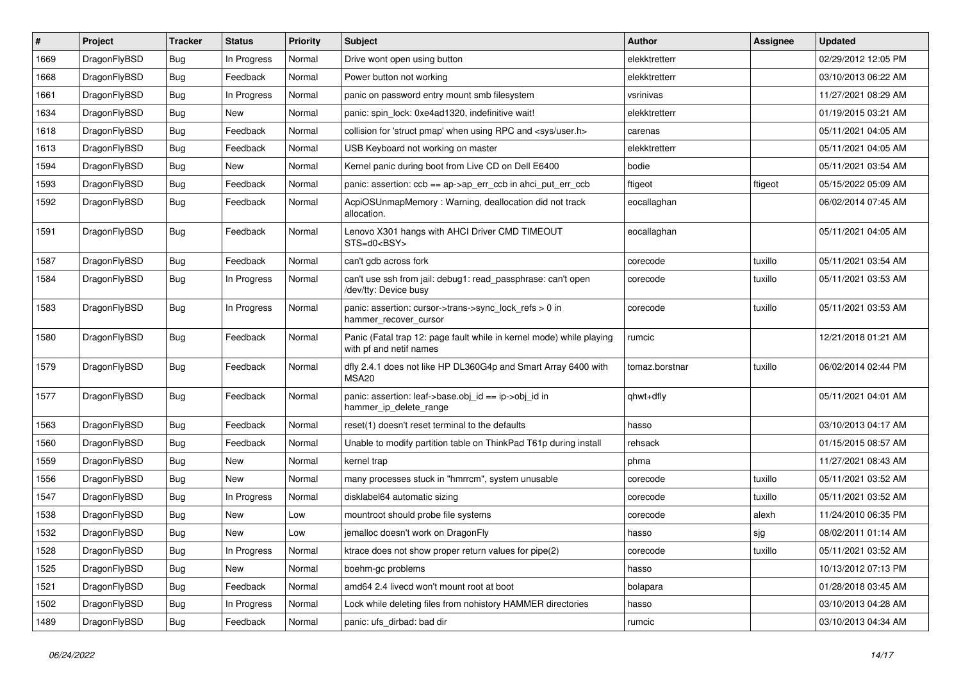| #    | Project      | <b>Tracker</b> | <b>Status</b> | <b>Priority</b> | Subject                                                                                         | <b>Author</b>  | Assignee | <b>Updated</b>      |
|------|--------------|----------------|---------------|-----------------|-------------------------------------------------------------------------------------------------|----------------|----------|---------------------|
| 1669 | DragonFlyBSD | Bug            | In Progress   | Normal          | Drive wont open using button                                                                    | elekktretterr  |          | 02/29/2012 12:05 PM |
| 1668 | DragonFlyBSD | Bug            | Feedback      | Normal          | Power button not working                                                                        | elekktretterr  |          | 03/10/2013 06:22 AM |
| 1661 | DragonFlyBSD | Bug            | In Progress   | Normal          | panic on password entry mount smb filesystem                                                    | vsrinivas      |          | 11/27/2021 08:29 AM |
| 1634 | DragonFlyBSD | Bug            | New           | Normal          | panic: spin lock: 0xe4ad1320, indefinitive wait!                                                | elekktretterr  |          | 01/19/2015 03:21 AM |
| 1618 | DragonFlyBSD | Bug            | Feedback      | Normal          | collision for 'struct pmap' when using RPC and <sys user.h=""></sys>                            | carenas        |          | 05/11/2021 04:05 AM |
| 1613 | DragonFlyBSD | Bug            | Feedback      | Normal          | USB Keyboard not working on master                                                              | elekktretterr  |          | 05/11/2021 04:05 AM |
| 1594 | DragonFlyBSD | Bug            | <b>New</b>    | Normal          | Kernel panic during boot from Live CD on Dell E6400                                             | bodie          |          | 05/11/2021 03:54 AM |
| 1593 | DragonFlyBSD | <b>Bug</b>     | Feedback      | Normal          | panic: assertion: ccb == ap->ap_err_ccb in ahci_put_err_ccb                                     | ftigeot        | ftigeot  | 05/15/2022 05:09 AM |
| 1592 | DragonFlyBSD | <b>Bug</b>     | Feedback      | Normal          | AcpiOSUnmapMemory: Warning, deallocation did not track<br>allocation.                           | eocallaghan    |          | 06/02/2014 07:45 AM |
| 1591 | DragonFlyBSD | Bug            | Feedback      | Normal          | Lenovo X301 hangs with AHCI Driver CMD TIMEOUT<br>STS=d0 <bsy></bsy>                            | eocallaghan    |          | 05/11/2021 04:05 AM |
| 1587 | DragonFlyBSD | Bug            | Feedback      | Normal          | can't gdb across fork                                                                           | corecode       | tuxillo  | 05/11/2021 03:54 AM |
| 1584 | DragonFlyBSD | <b>Bug</b>     | In Progress   | Normal          | can't use ssh from jail: debug1: read_passphrase: can't open<br>/dev/tty: Device busy           | corecode       | tuxillo  | 05/11/2021 03:53 AM |
| 1583 | DragonFlyBSD | Bug            | In Progress   | Normal          | panic: assertion: cursor->trans->sync_lock_refs > 0 in<br>hammer recover cursor                 | corecode       | tuxillo  | 05/11/2021 03:53 AM |
| 1580 | DragonFlyBSD | <b>Bug</b>     | Feedback      | Normal          | Panic (Fatal trap 12: page fault while in kernel mode) while playing<br>with pf and netif names | rumcic         |          | 12/21/2018 01:21 AM |
| 1579 | DragonFlyBSD | Bug            | Feedback      | Normal          | dfly 2.4.1 does not like HP DL360G4p and Smart Array 6400 with<br>MSA20                         | tomaz.borstnar | tuxillo  | 06/02/2014 02:44 PM |
| 1577 | DragonFlyBSD | Bug            | Feedback      | Normal          | panic: assertion: leaf->base.obj_id == ip->obj_id in<br>hammer_ip_delete_range                  | qhwt+dfly      |          | 05/11/2021 04:01 AM |
| 1563 | DragonFlyBSD | Bug            | Feedback      | Normal          | reset(1) doesn't reset terminal to the defaults                                                 | hasso          |          | 03/10/2013 04:17 AM |
| 1560 | DragonFlyBSD | Bug            | Feedback      | Normal          | Unable to modify partition table on ThinkPad T61p during install                                | rehsack        |          | 01/15/2015 08:57 AM |
| 1559 | DragonFlyBSD | Bug            | <b>New</b>    | Normal          | kernel trap                                                                                     | phma           |          | 11/27/2021 08:43 AM |
| 1556 | DragonFlyBSD | <b>Bug</b>     | <b>New</b>    | Normal          | many processes stuck in "hmrrcm", system unusable                                               | corecode       | tuxillo  | 05/11/2021 03:52 AM |
| 1547 | DragonFlyBSD | <b>Bug</b>     | In Progress   | Normal          | disklabel64 automatic sizing                                                                    | corecode       | tuxillo  | 05/11/2021 03:52 AM |
| 1538 | DragonFlyBSD | Bug            | <b>New</b>    | Low             | mountroot should probe file systems                                                             | corecode       | alexh    | 11/24/2010 06:35 PM |
| 1532 | DragonFlyBSD | Bug            | New           | Low             | jemalloc doesn't work on DragonFly                                                              | hasso          | sjg      | 08/02/2011 01:14 AM |
| 1528 | DragonFlyBSD | Bug            | In Progress   | Normal          | ktrace does not show proper return values for pipe(2)                                           | corecode       | tuxillo  | 05/11/2021 03:52 AM |
| 1525 | DragonFlyBSD | <b>Bug</b>     | New           | Normal          | boehm-gc problems                                                                               | hasso          |          | 10/13/2012 07:13 PM |
| 1521 | DragonFlyBSD | Bug            | Feedback      | Normal          | amd64 2.4 livecd won't mount root at boot                                                       | bolapara       |          | 01/28/2018 03:45 AM |
| 1502 | DragonFlyBSD | <b>Bug</b>     | In Progress   | Normal          | Lock while deleting files from nohistory HAMMER directories                                     | hasso          |          | 03/10/2013 04:28 AM |
| 1489 | DragonFlyBSD | <b>Bug</b>     | Feedback      | Normal          | panic: ufs_dirbad: bad dir                                                                      | rumcic         |          | 03/10/2013 04:34 AM |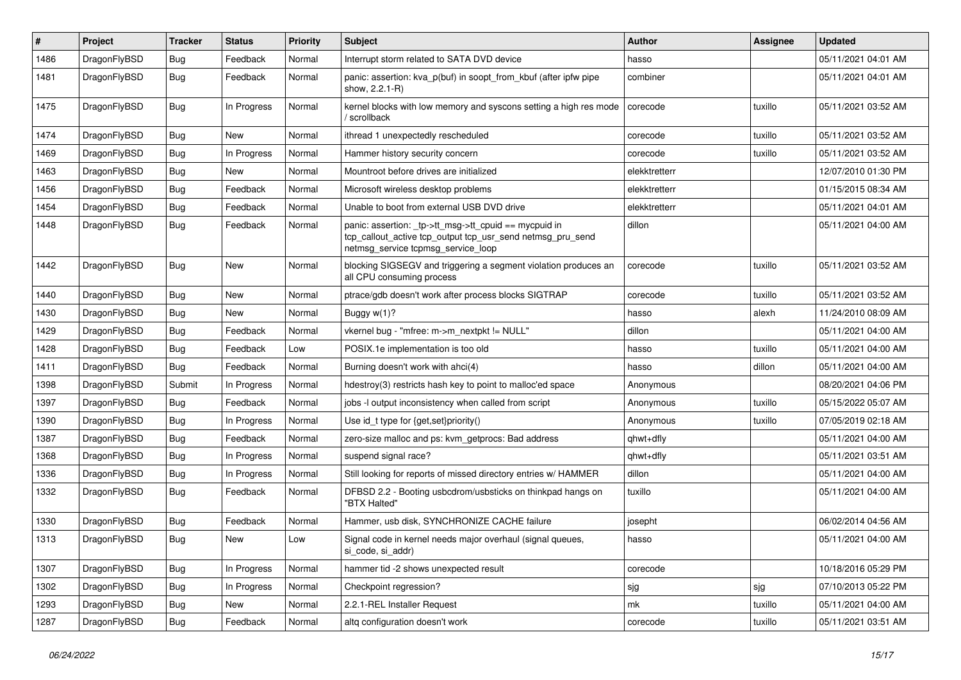| $\pmb{\#}$ | Project      | <b>Tracker</b> | <b>Status</b> | <b>Priority</b> | <b>Subject</b>                                                                                                                                            | Author        | <b>Assignee</b> | <b>Updated</b>      |
|------------|--------------|----------------|---------------|-----------------|-----------------------------------------------------------------------------------------------------------------------------------------------------------|---------------|-----------------|---------------------|
| 1486       | DragonFlyBSD | <b>Bug</b>     | Feedback      | Normal          | Interrupt storm related to SATA DVD device                                                                                                                | hasso         |                 | 05/11/2021 04:01 AM |
| 1481       | DragonFlyBSD | Bug            | Feedback      | Normal          | panic: assertion: kva_p(buf) in soopt_from_kbuf (after ipfw pipe<br>show, 2.2.1-R)                                                                        | combiner      |                 | 05/11/2021 04:01 AM |
| 1475       | DragonFlyBSD | Bug            | In Progress   | Normal          | kernel blocks with low memory and syscons setting a high res mode<br>/ scrollback                                                                         | corecode      | tuxillo         | 05/11/2021 03:52 AM |
| 1474       | DragonFlyBSD | <b>Bug</b>     | New           | Normal          | ithread 1 unexpectedly rescheduled                                                                                                                        | corecode      | tuxillo         | 05/11/2021 03:52 AM |
| 1469       | DragonFlyBSD | <b>Bug</b>     | In Progress   | Normal          | Hammer history security concern                                                                                                                           | corecode      | tuxillo         | 05/11/2021 03:52 AM |
| 1463       | DragonFlyBSD | Bug            | New           | Normal          | Mountroot before drives are initialized                                                                                                                   | elekktretterr |                 | 12/07/2010 01:30 PM |
| 1456       | DragonFlyBSD | Bug            | Feedback      | Normal          | Microsoft wireless desktop problems                                                                                                                       | elekktretterr |                 | 01/15/2015 08:34 AM |
| 1454       | DragonFlyBSD | Bug            | Feedback      | Normal          | Unable to boot from external USB DVD drive                                                                                                                | elekktretterr |                 | 05/11/2021 04:01 AM |
| 1448       | DragonFlyBSD | <b>Bug</b>     | Feedback      | Normal          | panic: assertion: _tp->tt_msg->tt_cpuid == mycpuid in<br>tcp_callout_active tcp_output tcp_usr_send netmsg_pru_send<br>netmsg_service tcpmsg_service_loop | dillon        |                 | 05/11/2021 04:00 AM |
| 1442       | DragonFlyBSD | Bug            | New           | Normal          | blocking SIGSEGV and triggering a segment violation produces an<br>all CPU consuming process                                                              | corecode      | tuxillo         | 05/11/2021 03:52 AM |
| 1440       | DragonFlyBSD | Bug            | New           | Normal          | ptrace/gdb doesn't work after process blocks SIGTRAP                                                                                                      | corecode      | tuxillo         | 05/11/2021 03:52 AM |
| 1430       | DragonFlyBSD | <b>Bug</b>     | New           | Normal          | Buggy w(1)?                                                                                                                                               | hasso         | alexh           | 11/24/2010 08:09 AM |
| 1429       | DragonFlyBSD | <b>Bug</b>     | Feedback      | Normal          | vkernel bug - "mfree: m->m nextpkt != NULL"                                                                                                               | dillon        |                 | 05/11/2021 04:00 AM |
| 1428       | DragonFlyBSD | Bug            | Feedback      | Low             | POSIX.1e implementation is too old                                                                                                                        | hasso         | tuxillo         | 05/11/2021 04:00 AM |
| 1411       | DragonFlyBSD | Bug            | Feedback      | Normal          | Burning doesn't work with ahci(4)                                                                                                                         | hasso         | dillon          | 05/11/2021 04:00 AM |
| 1398       | DragonFlyBSD | Submit         | In Progress   | Normal          | hdestroy(3) restricts hash key to point to malloc'ed space                                                                                                | Anonymous     |                 | 08/20/2021 04:06 PM |
| 1397       | DragonFlyBSD | Bug            | Feedback      | Normal          | jobs -I output inconsistency when called from script                                                                                                      | Anonymous     | tuxillo         | 05/15/2022 05:07 AM |
| 1390       | DragonFlyBSD | <b>Bug</b>     | In Progress   | Normal          | Use id_t type for {get,set}priority()                                                                                                                     | Anonymous     | tuxillo         | 07/05/2019 02:18 AM |
| 1387       | DragonFlyBSD | Bug            | Feedback      | Normal          | zero-size malloc and ps: kvm getprocs: Bad address                                                                                                        | qhwt+dfly     |                 | 05/11/2021 04:00 AM |
| 1368       | DragonFlyBSD | <b>Bug</b>     | In Progress   | Normal          | suspend signal race?                                                                                                                                      | qhwt+dfly     |                 | 05/11/2021 03:51 AM |
| 1336       | DragonFlyBSD | <b>Bug</b>     | In Progress   | Normal          | Still looking for reports of missed directory entries w/ HAMMER                                                                                           | dillon        |                 | 05/11/2021 04:00 AM |
| 1332       | DragonFlyBSD | Bug            | Feedback      | Normal          | DFBSD 2.2 - Booting usbcdrom/usbsticks on thinkpad hangs on<br>"BTX Halted"                                                                               | tuxillo       |                 | 05/11/2021 04:00 AM |
| 1330       | DragonFlyBSD | <b>Bug</b>     | Feedback      | Normal          | Hammer, usb disk, SYNCHRONIZE CACHE failure                                                                                                               | josepht       |                 | 06/02/2014 04:56 AM |
| 1313       | DragonFlyBSD | <b>Bug</b>     | New           | Low             | Signal code in kernel needs major overhaul (signal queues,<br>si_code, si_addr)                                                                           | hasso         |                 | 05/11/2021 04:00 AM |
| 1307       | DragonFlyBSD | <b>Bug</b>     | In Progress   | Normal          | hammer tid -2 shows unexpected result                                                                                                                     | corecode      |                 | 10/18/2016 05:29 PM |
| 1302       | DragonFlyBSD | Bug            | In Progress   | Normal          | Checkpoint regression?                                                                                                                                    | sjg           | sjg             | 07/10/2013 05:22 PM |
| 1293       | DragonFlyBSD | Bug            | New           | Normal          | 2.2.1-REL Installer Request                                                                                                                               | mk            | tuxillo         | 05/11/2021 04:00 AM |
| 1287       | DragonFlyBSD | <b>Bug</b>     | Feedback      | Normal          | altq configuration doesn't work                                                                                                                           | corecode      | tuxillo         | 05/11/2021 03:51 AM |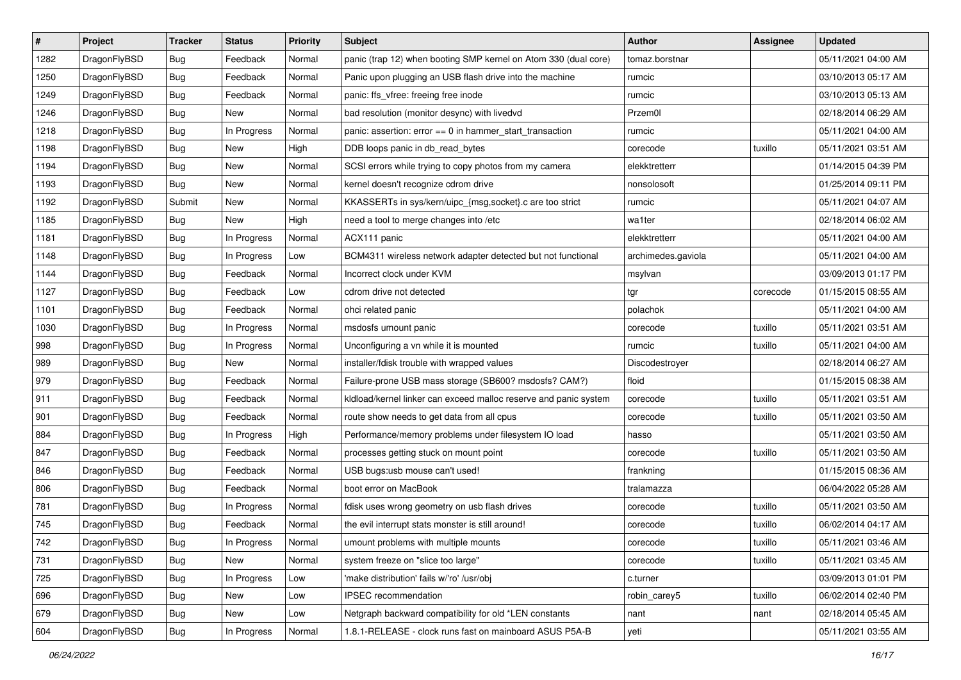| $\sharp$ | Project      | <b>Tracker</b> | <b>Status</b> | Priority | Subject                                                          | <b>Author</b>      | Assignee | <b>Updated</b>      |
|----------|--------------|----------------|---------------|----------|------------------------------------------------------------------|--------------------|----------|---------------------|
| 1282     | DragonFlyBSD | Bug            | Feedback      | Normal   | panic (trap 12) when booting SMP kernel on Atom 330 (dual core)  | tomaz.borstnar     |          | 05/11/2021 04:00 AM |
| 1250     | DragonFlyBSD | <b>Bug</b>     | Feedback      | Normal   | Panic upon plugging an USB flash drive into the machine          | rumcic             |          | 03/10/2013 05:17 AM |
| 1249     | DragonFlyBSD | <b>Bug</b>     | Feedback      | Normal   | panic: ffs_vfree: freeing free inode                             | rumcic             |          | 03/10/2013 05:13 AM |
| 1246     | DragonFlyBSD | <b>Bug</b>     | New           | Normal   | bad resolution (monitor desync) with livedvd                     | Przem0l            |          | 02/18/2014 06:29 AM |
| 1218     | DragonFlyBSD | <b>Bug</b>     | In Progress   | Normal   | panic: assertion: error == 0 in hammer_start_transaction         | rumcic             |          | 05/11/2021 04:00 AM |
| 1198     | DragonFlyBSD | <b>Bug</b>     | New           | High     | DDB loops panic in db_read_bytes                                 | corecode           | tuxillo  | 05/11/2021 03:51 AM |
| 1194     | DragonFlyBSD | <b>Bug</b>     | New           | Normal   | SCSI errors while trying to copy photos from my camera           | elekktretterr      |          | 01/14/2015 04:39 PM |
| 1193     | DragonFlyBSD | Bug            | New           | Normal   | kernel doesn't recognize cdrom drive                             | nonsolosoft        |          | 01/25/2014 09:11 PM |
| 1192     | DragonFlyBSD | Submit         | <b>New</b>    | Normal   | KKASSERTs in sys/kern/uipc_{msg,socket}.c are too strict         | rumcic             |          | 05/11/2021 04:07 AM |
| 1185     | DragonFlyBSD | Bug            | <b>New</b>    | High     | need a tool to merge changes into /etc                           | wa1ter             |          | 02/18/2014 06:02 AM |
| 1181     | DragonFlyBSD | <b>Bug</b>     | In Progress   | Normal   | ACX111 panic                                                     | elekktretterr      |          | 05/11/2021 04:00 AM |
| 1148     | DragonFlyBSD | <b>Bug</b>     | In Progress   | Low      | BCM4311 wireless network adapter detected but not functional     | archimedes.gaviola |          | 05/11/2021 04:00 AM |
| 1144     | DragonFlyBSD | <b>Bug</b>     | Feedback      | Normal   | Incorrect clock under KVM                                        | msylvan            |          | 03/09/2013 01:17 PM |
| 1127     | DragonFlyBSD | <b>Bug</b>     | Feedback      | Low      | cdrom drive not detected                                         | tgr                | corecode | 01/15/2015 08:55 AM |
| 1101     | DragonFlyBSD | Bug            | Feedback      | Normal   | ohci related panic                                               | polachok           |          | 05/11/2021 04:00 AM |
| 1030     | DragonFlyBSD | <b>Bug</b>     | In Progress   | Normal   | msdosfs umount panic                                             | corecode           | tuxillo  | 05/11/2021 03:51 AM |
| 998      | DragonFlyBSD | <b>Bug</b>     | In Progress   | Normal   | Unconfiguring a vn while it is mounted                           | rumcic             | tuxillo  | 05/11/2021 04:00 AM |
| 989      | DragonFlyBSD | Bug            | <b>New</b>    | Normal   | installer/fdisk trouble with wrapped values                      | Discodestroyer     |          | 02/18/2014 06:27 AM |
| 979      | DragonFlyBSD | <b>Bug</b>     | Feedback      | Normal   | Failure-prone USB mass storage (SB600? msdosfs? CAM?)            | floid              |          | 01/15/2015 08:38 AM |
| 911      | DragonFlyBSD | <b>Bug</b>     | Feedback      | Normal   | kldload/kernel linker can exceed malloc reserve and panic system | corecode           | tuxillo  | 05/11/2021 03:51 AM |
| 901      | DragonFlyBSD | Bug            | Feedback      | Normal   | route show needs to get data from all cpus                       | corecode           | tuxillo  | 05/11/2021 03:50 AM |
| 884      | DragonFlyBSD | <b>Bug</b>     | In Progress   | High     | Performance/memory problems under filesystem IO load             | hasso              |          | 05/11/2021 03:50 AM |
| 847      | DragonFlyBSD | Bug            | Feedback      | Normal   | processes getting stuck on mount point                           | corecode           | tuxillo  | 05/11/2021 03:50 AM |
| 846      | DragonFlyBSD | <b>Bug</b>     | Feedback      | Normal   | USB bugs:usb mouse can't used!                                   | frankning          |          | 01/15/2015 08:36 AM |
| 806      | DragonFlyBSD | <b>Bug</b>     | Feedback      | Normal   | boot error on MacBook                                            | tralamazza         |          | 06/04/2022 05:28 AM |
| 781      | DragonFlyBSD | Bug            | In Progress   | Normal   | fdisk uses wrong geometry on usb flash drives                    | corecode           | tuxillo  | 05/11/2021 03:50 AM |
| 745      | DragonFlyBSD | <b>Bug</b>     | Feedback      | Normal   | the evil interrupt stats monster is still around!                | corecode           | tuxillo  | 06/02/2014 04:17 AM |
| 742      | DragonFlyBSD | <b>Bug</b>     | In Progress   | Normal   | umount problems with multiple mounts                             | corecode           | tuxillo  | 05/11/2021 03:46 AM |
| 731      | DragonFlyBSD | Bug            | New           | Normal   | system freeze on "slice too large"                               | corecode           | tuxillo  | 05/11/2021 03:45 AM |
| 725      | DragonFlyBSD | <b>Bug</b>     | In Progress   | Low      | 'make distribution' fails w/'ro' /usr/obj                        | c.turner           |          | 03/09/2013 01:01 PM |
| 696      | DragonFlyBSD | <b>Bug</b>     | New           | Low      | IPSEC recommendation                                             | robin_carey5       | tuxillo  | 06/02/2014 02:40 PM |
| 679      | DragonFlyBSD | <b>Bug</b>     | New           | Low      | Netgraph backward compatibility for old *LEN constants           | nant               | nant     | 02/18/2014 05:45 AM |
| 604      | DragonFlyBSD | Bug            | In Progress   | Normal   | 1.8.1-RELEASE - clock runs fast on mainboard ASUS P5A-B          | yeti               |          | 05/11/2021 03:55 AM |